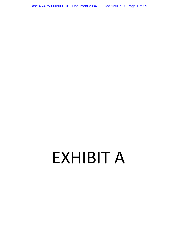Case 4:74-cv-00090-DCB Document 2384-1 Filed 12/01/19 Page 1 of 59

# EXHIBIT A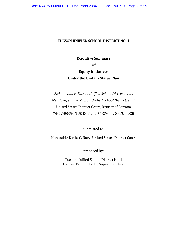#### **TUCSON UNIFIED SCHOOL DISTRICT NO. 1**

**Executive Summary Of Equity Initiatives Under the Unitary Status Plan** 

*Fisher, et al. v. Tucson Unified School District, et al. Mendoza, et al. v. Tucson Unified School District, et al.*  United States District Court, District of Arizona 74‐CV‐00090 TUC DCB and 74‐CV‐00204 TUC DCB

submitted to:

Honorable David C. Bury, United States District Court

prepared by:

Tucson Unified School District No. 1 Gabriel Trujillo, Ed.D., Superintendent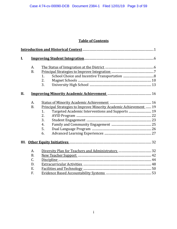# **Table of Contents**

| $\mathbf{I}$ . |           |                                                                   |  |
|----------------|-----------|-------------------------------------------------------------------|--|
|                | A.        |                                                                   |  |
|                | <b>B.</b> |                                                                   |  |
|                |           | 1.                                                                |  |
|                |           | 2.                                                                |  |
|                |           | 3.                                                                |  |
| II.            |           |                                                                   |  |
|                | A.        |                                                                   |  |
|                | <b>B.</b> | Principal Strategies to Improve Minority Academic Achievement  19 |  |
|                |           | $\mathbf{1}$ .                                                    |  |
|                |           | 2.                                                                |  |
|                |           | 3.                                                                |  |
|                |           | 4.                                                                |  |
|                |           | 5.                                                                |  |
|                |           | 6.                                                                |  |
|                |           |                                                                   |  |
|                | A.        |                                                                   |  |
|                | <b>B.</b> |                                                                   |  |
|                | C.        |                                                                   |  |
|                | D.        |                                                                   |  |
|                | Ε.        |                                                                   |  |
|                | F.        |                                                                   |  |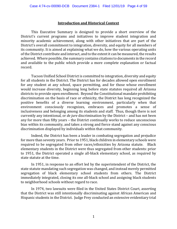#### **Introduction and Historical Context**

 This Executive Summary is designed to provide a short overview of the District's current programs and initiatives to improve student integration and minority academic achievement, along with other initiatives that are part of the District's overall commitment to integration, diversity, and equity for all members of its community. It is aimed at explaining what we do, how the various operating units of the District contribute and interact, and to the extent it can be measured, the results achieved. Where possible, the summary contains citations to documents in the record and available to the public which provide a more complete explanation or factual record.

Tucson Unified School District is committed to integration, diversity and equity for all students in the District. The District has for decades allowed open enrollment for any student at any school, space permitting, and for those whose enrollment would increase diversity, beginning long before state statutes required all Arizona districts to provide open enrollment. Beyond the Constitutional mandate prohibiting discrimination on the basis of race or ethnicity, the District has long recognized the positive benefits of a diverse learning environment, particularly when that environment consciously recognizes, embraces and promotes a sense of inclusiveness and belonging among its students and staff. Thus, though there is not currently any intentional, or *de jure* discrimination by the District – and has not been any for more than fifty years – the District continually works to reduce unconscious bias within its community, and takes a strong and fierce stand against any conscious discrimination displayed by individuals within that community.

Indeed, the District has been a leader in combating segregation and prejudice for more than seventy years. Prior to 1951, black children in elementary schools were required to be segregated from other races/ethnicities by Arizona statute. Black elementary students in the District were thus segregated from other students: prior to 1951, the District operated a single all‐black elementary school, as required by state statute at the time.

 In 1951, in response to an effort led by the superintendent of the District, the state statute mandating such segregation was changed, and instead merely permitted segregation of black elementary school students from others. The District immediately integrated, closing its one all-black school and assigning black students to neighborhood schools without regard to race.

 In 1974, two lawsuits were filed in the United States District Court, asserting that the District was still intentionally discriminating against African American and Hispanic students in the District. Judge Frey conducted an extensive evidentiary trial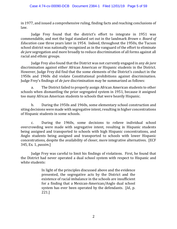in 1977, and issued a comprehensive ruling, finding facts and reaching conclusions of law.

 Judge Frey found that the district's effort to integrate in 1951 was commendable, and met the legal standard set out in the landmark *Brown v. Board of Education* case three years later in 1954. Indeed, throughout the 1950s, the Tucson school district was nationally recognized as in the vanguard of the effort to eliminate *de jure* segregation and more broadly to reduce discrimination of all forms against all racial and ethnic groups.

 Judge Frey also found that the District was not currently engaged in any *de jure* discrimination against either African American or Hispanic students in the District. However, Judge Frey did find that the some elements of the District's conduct in the 1950s and 1960s did violate Constitutional prohibitions against discrimination. Judge Frey's findings of *de jure* discrimination may be summarized as follows:

a. The District failed to properly assign African American students to other schools when dismantling the prior segregated system in 1951, because it assigned too many African American students to schools that were heavily Hispanic.

b. During the 1950s and 1960s, some elementary school construction and siting decisions were made with segregative intent, resulting in higher concentrations of Hispanic students in some schools.

c. During the 1960s, some decisions to relieve individual school overcrowding were made with segregative intent, resulting in Hispanic students being assigned and transported to schools with high Hispanic concentrations, and Anglo students being assigned and transported to schools with lower Hispanic concentrations, despite the availability of closer, more integrative alternatives. [ECF 345, Ex. 1, *passim*.]

Judge Frey was careful to limit his findings of violations. First, he found that the District had never operated a dual school system with respect to Hispanic and white students:

> In light of the principles discussed above and the evidence presented, the segregative acts by the District and the existence of racial imbalance in the schools are insufficient for a finding that a Mexican‐American/Anglo dual school system has ever been operated by the defendants. [*Id.*, p. 221.]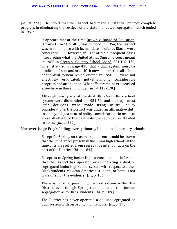[*Id.*, at 221.] He noted that the District had made substantial but not complete progress in eliminating the vestiges of the state‐mandated segregation which ended in 1951:

> It appears that at the time Brown v. Board of Education, (Brown I) 347 U.S. 483, was decided in 1954, the District was in compliance with its mandate insofar as Blacks were concerned. . . . However, in light of the subsequent cases interpreting what the United States Supreme court meant in 1968 in Green v. Country School Board, 391 U.S. 430, when it stated, at page 438, that a dual system must be eradicated "root and branch", it now appears that all effects of the dual system which existed in 1950‐51, were not effectively eradicated, notwithstanding considerable progress and attenuation. What effect remains is discussed elsewhere in these Findings. [*Id.*, at 119‐120.]

> Although most parts of the dual Black/non‐Black school system were dismantled in 1951‐52, and although most later decisions were made using neutral policy considerations, the District was under an affirmative duty to go beyond just neutral policy considerations in order to erase all effects of the past statutory segregation. It failed to do so. [*Id.*, at 222.]

Moreover, Judge Frey's findings were primarily limited to elementary schools:

Except for Spring, no reasonable inference could be drawn that the imbalances present in the junior high schools at the time of trial resulted from segregative intent or acts on the part of the District. [*Id.*, p. 184.]

Except as to Spring Junior High, a conclusion or inference that the District has operated or is operating a dual or segregated junior high school system with respect to either Black students, Mexican‐American students, or both, is not warranted by the evidence. [*Id.*, p. 186.]

There is no dual junior high school system within the District, even though Spring retains effects from former segregation as to Black students. [*Id.*, p. 189.]

The District has never operated a de jure segregated or dual system with respect to high schools. [*Id.*, p. 193.]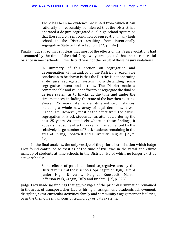There has been no evidence presented from which it can rationally or reasonably be inferred that the District has operated a de jure segregated dual high school system or that there is a current condition of segregation in any high school in the District resulting from intentionally segregative State or District action. [*Id.*, p. 194.]

Finally, Judge Frey made it clear that most of the effects of the *de jure* violations had attenuated by the time of the trial forty‐two years ago, and that the current racial balance in most schools in the District was not the result of those *de jure* violations:

> In summary of this section on segregation and desegregation within and/or by the District, a reasonable conclusion to be drawn is that the District is not operating a de jure segregated system, notwithstanding some segregative intent and actions. The District made a commendable and valiant effort to desegregate the dual or de jure system as to Blacks, at the time and under the circumstances, including the state of the law then existing. Viewed 25 years later under different circumstances, including a whole new array of legal decisions, it was inadequate. However, most of the effect from the earlier segregation of Black students, has attenuated during the past 25 years. As stated elsewhere in these findings, it appears that some effect may remain, as evidenced by the relatively large number of Black students remaining in the area of Spring, Roosevelt and University Heights. [*Id.*, p. 70.]

In the final analysis, the only vestige of the prior discrimination which Judge Frey found continued to exist as of the time of trial was in the racial and ethnic makeup of students at nine schools in the District, five of which no longer exist as active schools:

> Some effects of past intentional segregative acts by the District remain at these schools: Spring Junior High, Safford Junior High, University Heights, Roosevelt, Manzo, Jefferson Park, Cragin, Tully and Brichta. [*Id.*, p. 223.]

Judge Frey made no findings that any vestiges of the prior discrimination remained in the areas of transportation, faculty hiring or assignment, academic achievement, discipline, extra-curricular activities, family and community engagement or facilities, or in the then-current analogs of technology or data systems.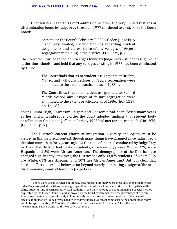Over ten years ago, this Court addressed whether the very limited vestiges of discrimination found by Judge Frey to exist in 1977 continued to exist. First, the Court noted:

> As noted in the Court's February 7, 2006, Order, Judge Frey made very limited, specific findings regarding student assignments and the existence of any vestiges of *de jure* segregation remaining in the district. [ECF 1239, p. 2.]

The Court then turned to the only vestiges found by Judge Frey – student assignment at the nine schools – and held that any vestiges existing in 1977 had been eliminated by 1986:

> The Court finds that as to student assignments at Brichta, Manzo, and Tully, any vestiges of *de jure* segregation were eliminated to the extent practicable as of 1983. . . .

> The Court finds that as to student assignments at Safford Middle School, any vestiges of *de jure* segregation were eliminated to the extent practicable as of 1986. [ECF 1239, pp. 16, 18.]

Spring Junior High, University Heights and Roosevelt had been closed many years earlier, and in a subsequent order the Court adopted findings that student body enrollment at Cragin and Jefferson Park by 1983 had met targets established in 1978. [ECF 1270, p. 6.]

 The District's current efforts at integration, diversity and equity must be viewed in this historical context, though many things have changed since Judge Frey's decision more than forty years ago. At the time of the trial conducted by Judge Frey in 1977, the District had 61,425 students, of whom 68% were White, 27% were Hispanic, and 5% were African American. The demographics of the District have changed significantly: this year, the District has only 43,875 students, of whom 20% are White, 61% are Hispanic, and 10% are African American.1 But it is clear that current efforts described below go far beyond merely eliminating vestiges of the prior discriminatory conduct found by Judge Frey.

1

 $1$  There were two differences in the way that race and ethnicity were measured then and now: (a) Judge Frey grouped all racial and ethnic groups other than African American and Hispanic together with White students, and (b) African American students in the District today are counted using a special method requested by the Fisher Plaintiffs and approved by the Court, which increases the percentage of African American students by approximately 2‐3 percent above the standard, federal method. If the original classification used by Judge Frey is used with today's figures for direct comparison, the percentages today would be approximately 30% White, 7% African American, and 63% Hispanic. The difference in measurement is not material to this executive summary.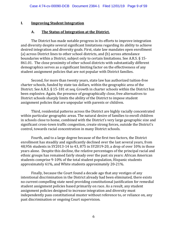#### **I. Improving Student Integration**

#### **A. The Status of Integration at the District.**

 The District has made notable progress in its efforts to improve integration and diversity despite several significant limitations regarding its ability to achieve desired integration and diversity goals. First, state law mandates open enrollment (a) across District lines to other school districts, and (b) across attendance boundaries within a District, subject only to certain limitations. See A.R.S. § 15‐ 861.01. The close proximity of other school districts with substantially different demographics serves as a significant limiting factor on the effectiveness of any student assignment policies that are not popular with District families.

Second, for more than twenty years, state law has authorized tuition‐free charter schools, funded by state tax dollars, within the geographic area of the District. See A.R.S. § 15-181 et seg. Growth in charter schools within the District has been explosive. Again, the presence of geographically close, free alternatives to District schools sharply limits the ability of the District to impose student assignment policies that are unpopular with parents or children.

Third, residential patterns across the District are highly racially concentrated within particular geographic areas. The natural desire of families to enroll children in schools close to home, combined with the District's very large geographic size and significant cross-town traffic congestion, create strong forces, outside the District's control, towards racial concentration in many District schools.

Fourth, and to a large degree because of the first two factors, the District enrollment has steadily and significantly declined over the last several years, from 48,956 students in SY2013‐14 to 43, 875 in SY2019‐20, a drop of over 10% in those years alone. Despite this decline, the relative percentages of the principal racial and ethnic groups has remained fairly steady over the past six years: African American students comprise 9‐10% of the total student population, Hispanic students approximately 61%, and White students approximately 20‐21%.

Finally, because the Court found a decade ago that any vestiges of any intentional discrimination in the District already had been eliminated, there exists no current compelling state need providing constitutional justification for remedial student assignment policies based primarily on race. As a result, any student assignment policies designed to increase integration and diversity must independently pass constitutional muster without reference to, or reliance on, any past discrimination or ongoing Court supervision.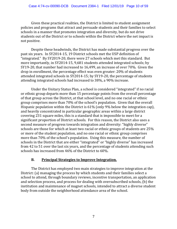Given these practical realities, the District is limited to student assignment policies and programs that attract and persuade students and their families to select schools in a manner that promotes integration and diversity, but do not drive students out of the District or to schools within the District where the net impact is not positive.

Despite these headwinds, the District has made substantial progress over the past six years. In SY2014‐15, 19 District schools met the USP definition of "integrated." By SY2019‐20, there were 27 schools which met this standard. But more importantly, in SY2014‐15, 9,681 students attended integrated schools; by SY19‐20, that number had increased to 16,499, an increase of over 70%. Given the drop in enrollment, the percentage effect was even greater: 20% of students attended integrated schools in SY2014‐15; by SY19‐20, the percentage of students attending integrated schools had increased to 38%, a 90% increase.

Under the Unitary Status Plan, a school is considered "integrated" if no racial or ethnic group departs more than 15 percentage points from the overall percentage of that group across the District, at that school level, and no one racial or ethnic group comprises more than 70% of the school's population. Given that the overall Hispanic population within the District is 61% (only 9% below the integration cap), and heavily concentrated in particular geographic areas within a large district covering 231 square miles, this is a standard that is impossible to meet for a significant proportion of District schools. For this reason, the District also uses a second measure of progress towards integration and diversity: "highly diverse" schools are those for which at least two racial or ethnic groups of students are 25% or more of the student population, and no one racial or ethnic group comprises more than 70% of the school's population. Using this measure, the number of schools in the District that are either "integrated" or "highly diverse" has increased from 42 to 51 over the last six years, and the percentage of students attending such schools has increased from 46% of the District to 60%.

# **B. Principal Strategies to Improve Integration.**

 The District has employed two main strategies to improve integration at the District: (a) managing the process by which students and their families select a school to attend, through boundary reviews, incentive transportation, an application and selection process, and process for dealing with oversubscribed schools, (b) the institution and maintenance of magnet schools, intended to attract a diverse student body from outside the neighborhood attendance area of the school.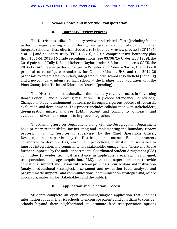# **1. School Choice and Incentive Transportation.**

#### **a. Boundary Review Process**

 The District has utilized boundary reviews and related efforts (including feeder pattern changes, pairing and clustering, and grade reconfigurations) to further integrate schools. These efforts included a 2013 boundary review process [ECF 1686‐ 4 at 65] and boundary study [ECF 1686‐3], a 2014 comprehensive boundary plan [ECF 1686‐5], 2015‐16 grade reconfigurations [see 03/08/16 Order, ECF 1909], the 2016 pairing of Tully K‐5 and Roberts‐Naylor grades 6‐8 for open‐access GATE, the 2016‐17 GATE feeder pattern changes to Wheeler and Roberts‐Naylor, the 2017‐18 proposal to reconfigure boundaries for Catalina/Rincon/UHS, and the 2019‐20 proposals to create a no‐boundary, integrated middle school at Wakefield (pending) and a no‐boundary, integrated high school at the Bridges in collaboration with the Pima County Joint Technical Education District (pending).

 The District has institutionalized the boundary review process in Governing Board Policy JC and supporting regulation JC-R (School Attendance Boundaries). Changes to student assignment patterns go through a rigorous process of research, evaluation, and development. This process includes collaboration with stakeholders, desegregation impact analyses (DIAs), parent and community outreach, and evaluations of various scenarios to improve integration.

 The Planning Services Department, along with the Desegregation Department have primary responsibility for initiating and implementing the boundary review process. Planning Services is supervised by the Chief Operations Officer; Desegregation is supervised by the District general counsel. Both departments collaborate to develop DIAs, enrollment projections, evaluation of scenarios to improve integration, and community and stakeholder engagement. These efforts are further supported by the multi-departmental Coordinated Student Assignment (CSA) committee (provides technical assistance in applicable areas, such as magnet, transportation, language acquisition, ALE), assistant superintendents (provide educational support and liaison with school principals), curriculum and instruction (analyze educational strategies), assessment and evaluation (data analyses and programmatic support), and communications (communication strategies and, where applicable, materials for stakeholders and the public).

#### **b. Application and Selection Process**

 Students complete an open enrollment/magnet application that includes information about all District schools to encourage parents and guardians to consider schools beyond their neighborhood, to promote free transportation options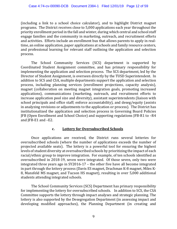(including a link to a school choice calculator), and to highlight District magnet programs. The District receives close to 5,000 applications each year throughout the priority enrollment period in the fall and winter, during which central and school staff engage families and the community in marketing, outreach, and recruitment efforts and activities. Efforts include an enrollment bus that allows parents to apply in real‐ time, an online application, paper applications at schools and family resource centers, and professional learning for relevant staff outlining the application and selection process.

 The School Community Services (SCS) department is supported by Coordinated Student Assignment committee, and has primary responsibility for implementing the application and selection process. The SCS department, led by the Director of Student Assignment, is overseen directly by the TUSD Superintendent. In addition to SCS and CSA, multiple departments support the application and selection process, including planning services (enrollment projections, capacity analysis), magnet (collaboration on meeting magnet integration goals, promoting increased applications), communications (marketing, outreach, and recruitment efforts to increase application pool size and diversity), assistant superintendents (liaison with school principals and office staff; enforce accountability), and deseg/equity (assists in analyzing revisions or adjustments to the application or process). The District has institutionalized the application and selection process in Governing Board Policies JFB (Open Enrollment and School Choice) and supporting regulations JFB‐R1 to –R4 and JFB‐E1 and –E2.

#### **c. Lottery for Oversubscribed Schools**

 Once applications are received, the District runs several lotteries for oversubscribed schools (where the number of applications exceeds the number of projected available seats). The lottery is a powerful tool for ensuring the highest levels of student diversity at oversubscribed schools by prioritizing the impact of each racial/ethnic group to improve integration. For example, of ten schools identified as oversubscribed in 2018‐19, seven were integrated. Of those seven, only two were integrated three years ago in SY2016‐17 – the other five have all become integrated in part through the lottery process (Davis ES magnet, Drachman K‐8 magnet, Miles K‐ 8, Mansfeld MS magnet, and Tucson HS magnet), resulting in over 5,000 additional students attending integrated schools.

 The School Community Services (SCS) Department has primary responsibility for implementing the lottery for oversubscribed schools. In addition to SCS, the CSA Committee supports the lottery through impact analyses and strategic planning. The lottery is also supported by the Desegregation Department (in assessing impact and developing modified approaches), the Planning Department (in creating and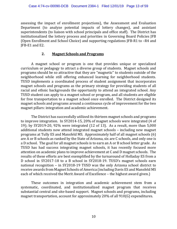assessing the impact of enrollment projections), the Assessment and Evaluation Department (to analyze potential impacts of lottery changes), and assistant superintendents (to liaison with school principals and office staff). The District has institutionalized the lottery process and priorities in Governing Board Policies JFB (Open Enrollment and School Choice) and supporting regulations JFB‐R1 to –R4 and JFB‐E1 and E2.

#### **2. Magnet Schools and Programs**

A magnet school or program is one that provides unique or specialized curriculum or pedagogy to attract a diverse group of students. Magnet schools and programs should be so attractive that they are "magnetic" to students outside of the neighborhood while still offering enhanced learning for neighborhood students. TUSD implements a coordinated process of student assignment that incorporates magnet schools and programs as the primary strategy for providing students of all racial and ethnic backgrounds the opportunity to attend an integrated school. Any TUSD student can apply to a magnet school or program, and all students are eligible for free transportation to a magnet school once enrolled. The District designed its magnet schools and programs around a continuous cycle of improvement for the two magnet pillars: integration and academic achievement.

The District has successfully utilized its thirteen magnet schools and programs to improve integration. In SY2014‐15, 20% of magnet schools were integrated (4 of 19); by SY2019‐20, 92% were integrated (12 of 13). As a result, more than 5,000 additional students now attend integrated magnet schools – including new magnet programs at Tully ES and Mansfeld MS. Approximately half of all magnet schools (6) are A or B schools as ranked by the State of Arizona, six are C schools, and only one is a D school. The goal for all magnet schools is to earn an A or B school letter grade. As TUSD has had success integrating magnet schools, it has recently focused more attention on academic plans to improve achievement at C and D magnet schools. The results of these efforts are best exemplified by the turnaround of Holladay ES from a D school in SY2017‐18 to a B school in SY2018‐19. TUSD's magnet schools earn national recognition – in SY2018‐19 TUSD was the only Arizona school district to receive awards from Magnet Schools of America (including Davis ES and Mansfeld MS each of which received the Merit Award of Excellence – the highest award given.)

These outcomes in integration and academic achievement stem from a systematic, coordinated, and institutionalized magnet program that receives substantial central and site‐based support. Magnet schools and programs, including magnet transportation, account for approximately 20% of all 910(G) expenditures.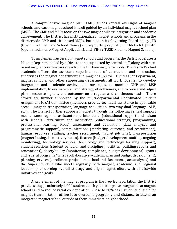A comprehensive magnet plan (CMP) guides central oversight of magnet schools, and each magnet school is itself guided by an individual magnet school plan (MSP). The CMP and MSPs focus on the two magnet pillars: integration and academic achievement. The District has institutionalized magnet schools and programs in the districtwide CMP and site‐based MSPs, but also in its Governing Board policy JFB (Open Enrollment and School Choice) and supporting regulation JFB‐R1 – R4, JFB‐E1 (Open Enrollment/Magnet Application), and JFB‐E2 TUSD Pipeline Magnet Schools).

To implement successful magnet schools and programs, the District operates a Magnet Department, led by a Director and supported by central staff, along with sitebased magnet coordinators at each of the thirteen magnet schools. The District's chief academic officer, the assistant superintendent of curriculum and instruction, supervises the magnet department and magnet Director. The Magnet Department, magnet schools, and other supporting departments, all work together to develop integration and academic achievement strategies, to monitor CMP and MSP implementation, to evaluate plan and strategy effectiveness, and to revise and adjust plans, resources, goals, and outcomes on a regular and continuous basis. These efforts are further supported by the multi-departmental Coordinated Student Assignment (CSA) Committee (members provide technical assistance in applicable areas – magnet, transportation, language acquisition, two‐way dual language, ALE, etc.). The District further supports magnets through the following central support mechanisms: regional assistant superintendents (educational support and liaison with schools), curriculum and instruction (educational strategy, programming, professional learning, PLCs), assessment and evaluation (data analyses and programmatic support), communications (marketing, outreach, and recruitment), human resources (staffing, teacher recruitment, magnet job fairs), transportation (magnet busing, late activity buses), finance (budget development, staffing, ongoing monitoring), technology services (technology and technology learning support), student relations (student behavior and discipline), facilities (building repairs and renovations), deseg/equity (monitoring, compliance, budget development), grants and federal programs/Title I (collaborative academic plan and budget development), planning services (enrollment projections, school and classroom space analyses), and the Superintendent who meets regularly with magnet, academic, and regional leadership to develop overall strategy and align magnet effort with districtwide initiatives and goals.

A key element of the magnet program is the free transportation the District provides to approximately 4,000 students each year to improve integration at magnet schools and to reduce racial concentration. Close to 70% of all students eligible for magnet transportation utilize it to overcome geography and distance to attend an integrated magnet school outside of their immediate neighborhood.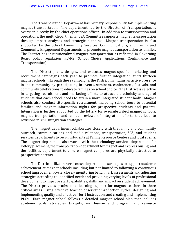The Transportation Department has primary responsibility for implementing magnet transportation. The department, led by the Director of Transportation, is overseen directly by the chief operations officer. In addition to transportation and operations, the multi‐departmental CSA Committee supports magnet transportation through impact analyses and strategic planning. Magnet transportation is also supported by the School Community Services, Communications, and Family and Community Engagement Departments, to promote magnet transportation to families. The District has institutionalized magnet transportation as reflected in Governing Board policy regulation JFB‐R2 (School Choice: Applications, Continuance and Transportation).

The District plans, designs, and executes magnet‐specific marketing and recruitment campaigns each year to promote further integration at its thirteen magnet schools. Through these campaigns, the District maintains an active presence in the community by participating in events, seminars, conferences, festivals, and community celebrations to educate families on school choice. The District is selective in targeting recruitment and marketing efforts to attract the ethnicity and age of students that each school needs to attain a more integrated student body. Magnet schools also conduct site-specific recruitment, including school tours to potential families and magnet information nights for prospective students and parents. Integration is further supported by the lottery for oversubscribed magnet schools, magnet transportation, and annual reviews of integration efforts that lead to revisions in MSP integration strategies.

The magnet department collaborates closely with the family and community outreach, communications and media relations, transportation, SCS, and student services departments to recruit students at Family Resource Centers and local events. The magnet department also works with the technology services department for lottery placement, the transportation department for magnet and express busing, and the facilities department to ensure magnet campuses are physically attractive to prospective parents.

The District utilizes several cross‐departmental strategies to support academic achievement at magnet schools including but not limited to following a continuous school improvement cycle; closely monitoring benchmark assessments and adjusting strategies according to identified need; and providing varying levels of professional development to improve staff capabilities, skills, and impact on student achievement. The District provides professional learning support for magnet teachers in three critical areas: using effective teacher observation‐reflection cycles, designing and implementing quality and effective Tier 1 instruction, and creating and implementing PLCs. Each magnet school follows a detailed magnet school plan that includes academic goals, strategies, budgets, and human and programmatic resource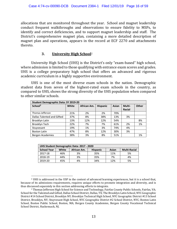allocations that are monitored throughout the year. School and magnet leadership conduct frequent walkthroughs and observations to ensure fidelity to MSPs, to identify and correct deficiencies, and to support magnet leadership and staff. The District's comprehensive magnet plan, containing a more detailed description of magnet plan and operations, appears in the record at ECF 2270 and attachments thereto.

## **3. University High School**<sup>2</sup>

University High School (UHS) is the District's only "exam‐based" high school, where admission is limited to those qualifying with entrance exam scores and grades. UHS is a college preparatory high school that offers an advanced and rigorous academic curriculum in a highly supportive environment.

 UHS is one of the most diverse exam schools in the nation. Demographic student data from seven of the highest-rated exam schools in the country, as compared to UHS, shows the strong diversity of the UHS population when compared to other similar schools.

| <b>Student Demographic Data: SY 2019-20</b> |              |             |                 |       |               |              |  |
|---------------------------------------------|--------------|-------------|-----------------|-------|---------------|--------------|--|
| School <sup>3</sup>                         | <b>White</b> | African Am. | <b>Hispanic</b> | Asian | Multi-        | <b>Other</b> |  |
|                                             |              |             |                 |       | <b>Racial</b> |              |  |
| Thomas Jefferson                            | 21%          | 2%          | 2%              | 70%   |               |              |  |
| Dallas Talented and Gifted                  | 37%          | 8%          | 38%             | 13%   | 3%            |              |  |
| Brooklyn Latin                              | 13%          | 12%         | 12%             | 54%   |               | 8%           |  |
| Brooklyn Tech                               | 22%          | 7%          | 7%              | 61%   | 2%            | 1%           |  |
| Stuyvesant                                  | 19%          | 1%          | 3%              | 74%   | 4%            |              |  |
| <b>Boston Latin</b>                         | 47%          | 8%          | 12%             | 30%   | 3%            |              |  |
| Bergen Academies                            | 38%          | 3%          | 8%              | 51%   |               | 1%           |  |

| UHS Student Demographic Data: 2017 - 2020 |       |             |                 |              |                     |  |  |
|-------------------------------------------|-------|-------------|-----------------|--------------|---------------------|--|--|
| <b>School Year</b>                        | White | African Am. | <b>Hispanic</b> | <b>Asian</b> | <b>Multi-Racial</b> |  |  |
| 2017-18                                   | 46%   | 3%          | 35%             | 11%          | 5%                  |  |  |
| 2018-19                                   | 44%   | 3%          | 35%             | 7%           | 4%                  |  |  |
| 2019-20                                   | 45%   | 4%          | 34%             | 12%          | 5%                  |  |  |

 $\overline{a}$ 

<sup>2</sup> UHS is addressed in the USP in the context of advanced learning experiences, but it is a school that, because of its admissions requirements, requires unique efforts to promote integration and diversity, and is thus discussed separately in this section addressing efforts to integrate.<br><sup>3</sup> Thomas Jefferson High School for Science and Technology, Fairfax County Public Schools, Fairfax, VA;

School for the Talented and Gifted, Dallas School District, Dallas, TX; The Brooklyn Latin School, NYC Geographic District #14 School District, Brooklyn NY; Brooklyn Technical High School, NYC Geographic District #13 School District, Brooklyn, NY; Stuyvesant High School, NYC Geographic District #2 School District, NYC; Boston Latin School, Boston Public School, Boston, MA; Bergen County Academies, Bergen County Vocational Technical School District, Hackensack, NJ.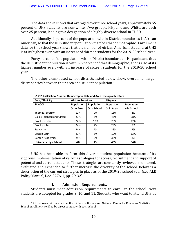The data above shows that averaged over three school years, approximately 55 percent of UHS students are non‐white. Two groups, Hispanic and White, are each over 25 percent, leading to a designation of a highly diverse school in TUSD.

 Additionally, 4 percent of the population within District boundaries is African American, so that the UHS student population matches that demographic. Enrollment data for this school year shows that the number of African American students at UHS is at its highest ever, with an increase of thirteen students for the 2019-20 school year.

 Forty percent of the population within District boundaries is Hispanic, and thus the UHS student population is within 6 percent of that demographic, and is also at its highest number ever, with an increase of sixteen students for the 2019-20 school year.

The other exam-based school districts listed below show, overall, far larger discrepancies between their area and student population.4

| SY 2019-20 School Student Demographic Data and Area Demographic Data |                         |             |                 |             |  |  |
|----------------------------------------------------------------------|-------------------------|-------------|-----------------|-------------|--|--|
| Race/Ethnicity                                                       | <b>African American</b> |             | <b>Hispanic</b> |             |  |  |
| <b>SCHOOL</b>                                                        | <b>Population</b>       | Population  | Population      | Population  |  |  |
|                                                                      | % in Area               | % in School | % in Area       | % in School |  |  |
| Thomas Jefferson                                                     | 11%                     | 2%          | 16%             | 2%          |  |  |
| Dallas Talented and Gifted                                           | 23%                     | 8%          | 46%             | 38%         |  |  |
| Brooklyn Latin                                                       | 24%                     | 12%         | 29%             | 12%         |  |  |
| Brooklyn Tech                                                        | 24%                     | 7%          | 29%             | 7%          |  |  |
| Stuyvesant                                                           | 24%                     | 1%          | 29%             | 3%          |  |  |
| <b>Boston Latin</b>                                                  | 23%                     | 8%          | 19%             | 13%         |  |  |
| Bergen Academies                                                     | 25%                     | 3%          | 38%             | 8%          |  |  |
| <b>University High School</b>                                        | 4%                      | 4%          | 40%             | 34%         |  |  |

UHS has been able to form this diverse student population because of its vigorous implementation of various strategies for access, recruitment and support of potential and current students. Those strategies are constantly reviewed, monitored, evaluated and expanded to further increase the diversity of the school. Below is a description of the current strategies in place as of the 2019‐20 school year (see ALE Policy Manual, Doc. 2276‐1, pp. 29‐32).

#### **i. Admission Requirements.**

Students must meet admission requirements to enroll in the school. New students are accepted for grades 9, 10, and 11. Students who want to attend UHS as

 $\overline{a}$ 4 All demographic data is from the US Census Bureau and National Center for Education Statistics. School enrollment verified by direct contact with each school.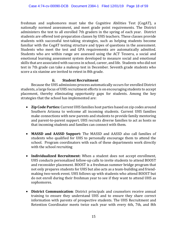freshman and sophomores must take the Cognitive Abilities Test (CogAT), a nationally normed assessment, and meet grade point requirements. The District administers the test to all enrolled 7th graders in the spring of each year. District students are offered test-preparation classes by UHS teachers. These classes provide students with successful test-taking strategies, such as helping students become familiar with the CogAT testing structure and types of questions in the assessment. Students who meet the test and GPA requirements are automatically admitted. Students who are within range are assessed using the ACT Tessera, a social and emotional learning assessment system developed to measure social and emotional skills that are associated with success in school, career, and life. Students who did not test in 7th grade can take a makeup test in December. Seventh grade students who score a six stanine are invited to retest in 8th grade.

# **ii. Student Recruitment**

 Because the UHS admissions process automatically occurs for enrolled District students, a large focus of UHS recruitment efforts is on encouraging students to accept placement, thereby eliminating opportunity gaps for students. Among the key strategies that the school has implemented are:

- **Zip Code Parties:** Current UHS families host parties based on zip codes around Southern Arizona to welcome all incoming students. Current UHS families make connections with new parents and students to provide family mentoring and parent‐to‐parent support. UHS recruits diverse families to act as hosts so that incoming students and families can connect with them.
- **MASSD and AASSD Support:** The MASSD and AASSD also call families of students who qualified for UHS to personally encourage them to attend the school. Program coordinators with each of these departments work directly with the school recruiting
- **Individualized Recruitment:** When a student does not accept enrollment, UHS conducts personalized follow‐up calls to invite students to attend BOOST and reconsider placement. BOOST is a freshman summer bridge program that not only prepares students for UHS but also acts as a team‐building and friend‐ making two‐week event. UHS follows up with students who attend BOOST but do not enroll during their freshman year to see if they want to attend UHS as sophomores.
- **District Communication**: District principals and counselors receive annual training to ensure they understand UHS and to ensure they share correct information with parents of prospective students. The UHS Recruitment and Retention Coordinator meets twice each year with every 6th, 7th, and 8th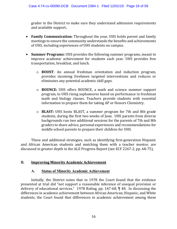grader in the District to make sure they understand admission requirements and available support..

- **Family Communication:** Throughout the year, UHS holds parent and family meetings to ensure the community understands the benefits and achievements of UHS, including experiences of UHS students on campus.
- **Summer Programs:** UHS provides the following summer programs, meant to improve academic achievement for students each year. UHS provides free transportation, breakfast, and lunch.
	- o **BOOST**: An annual freshman orientation and induction program, provides incoming freshmen targeted interventions and reduces or eliminates any potential academic skill gaps.
	- o **BOUNCE:** UHS offers BOUNCE, a math and science summer support program, to UHS rising sophomores based on performance in freshman math and biology classes. Teachers provide students with essential information to prepare them for taking AP or Honors Chemistry.
	- o **BLAST:** UHS hosts BLAST, a summer program for 7th and 8th grade students, during the first two weeks of June. UHS parents from diverse backgrounds run two additional sessions for the parents of 7th and 8th graders to share advice, personal experiences and recommendations for middle school parents to prepare their children for UHS.

These and additional strategies, such as identifying first‐generation Hispanic and African American students and matching them with a teacher mentor, are discussed in greater depth in the ALE Progress Report (see ECF 2267‐2, pp. 68‐75),

#### **II. Improving Minority Academic Achievement**

#### **A. Status of Minority Academic Achievement**

Initially, the District notes that in 1978 the Court found that the evidence presented at trial did "not support a reasonable inference of unequal provision or delivery of educational services." 1978 Ruling, pp. 167‐68, ¶ 48. In discussing the differences in academic achievement between African American, Hispanic, and White students, the Court found that differences in academic achievement among these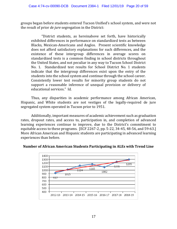groups began before students entered Tucson Unified's school system, and were not the result of prior *de jure* segregation in the District:

"District students, as hereinabove set forth, have historically exhibited differences in performance on standardized tests as between Blacks, Mexican‐Americans and Anglos. Present scientific knowledge does not afford satisfactory explanations for such differences, and the existence of these intergroup differences in average scores on standardized tests is a common finding in school districts throughout the United States, and not peculiar in any way to Tucson School District No. 1. Standardized test results for School District No. 1 students indicate that the intergroup differences exist upon the entry of the students into the school system and continue through the school career. Consistently lower test results for minority group students do not support a reasonable inference of unequal provision or delivery of educational services." Id.

 Thus, any disparities in academic performance among African American, Hispanic, and White students are not vestiges of the legally-required de jure segregated system operated in Tucson prior to 1951.

 Additionally, important measures of academic achievement such as graduation rates, dropout rates, and access to, participation in, and completion of advanced learning experiences continue to improve, due to the District's commitment to equitable access to these programs. [ECF 2267‐2, pp. 5‐22, 34‐45, 48‐56, and 59‐63.] More African American and Hispanic students are participating in advanced learning experiences than before.



**Number of African American Students Participating in ALEs with Trend Line**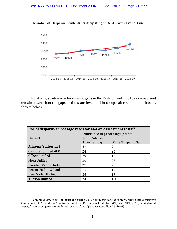



Relatedly, academic achievement gaps in the District continue to decrease, and remain lower than the gaps at the state level and in comparable school districts, as shown below.

| Racial disparity in passage rates for ELA on assessment tests <sup>5*</sup> |                                 |                    |  |  |  |
|-----------------------------------------------------------------------------|---------------------------------|--------------------|--|--|--|
|                                                                             | Difference in percentage points |                    |  |  |  |
| <b>District</b>                                                             | White/African                   |                    |  |  |  |
|                                                                             | American Gap                    | White/Hispanic Gap |  |  |  |
| Arizona (statewide)                                                         | 26                              | 24                 |  |  |  |
| Chandler Unified #80                                                        | 24                              | 25                 |  |  |  |
| <b>Gilbert Unified</b>                                                      | 29                              | 18                 |  |  |  |
| Mesa Unified                                                                | 30                              | 28                 |  |  |  |
| Paradise Valley Unified                                                     | 27                              | 28                 |  |  |  |
| Peoria Unified School                                                       | 15                              | 17                 |  |  |  |
| Deer Valley Unified                                                         | 26                              | 18                 |  |  |  |
| <b>Tucson Unified</b>                                                       | 24                              | 18                 |  |  |  |

 $\overline{a}$ 

<sup>5</sup> Combined data from Fall 2018 and Spring 2019 administrations of AzMerit, Multi‐State Alternative Assessment, ACT, and SAT. Arizona Dep't of Ed., AzMerit, MSAA, ACT, and SAT 2019, available at https://www.azed.gov/accountability-research/data/ (last accessed Nov. 26, 2019).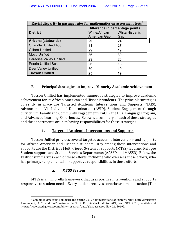| Racial disparity in passage rates for mathematics on assessment tests <sup>6</sup> |                                 |     |  |  |  |
|------------------------------------------------------------------------------------|---------------------------------|-----|--|--|--|
|                                                                                    | Difference in percentage points |     |  |  |  |
| White/Hispanic<br><b>White/African</b><br><b>District</b>                          |                                 |     |  |  |  |
|                                                                                    | <b>American Gap</b>             | Gap |  |  |  |
| Arizona (statewide)                                                                | 29                              | 24  |  |  |  |
| Chandler Unified #80                                                               | 31                              | 27  |  |  |  |
| <b>Gilbert Unified</b>                                                             | 29                              | 19  |  |  |  |
| <b>Mesa Unified</b>                                                                | 36                              | 30  |  |  |  |
| <b>Paradise Valley Unified</b>                                                     | 29                              | 26  |  |  |  |
| <b>Peoria Unified School</b>                                                       | 26                              | 18  |  |  |  |
| <b>Deer Valley Unified</b>                                                         | 30                              | 19  |  |  |  |
| <b>Tucson Unified</b>                                                              | 25                              | 19  |  |  |  |

# **B. Principal Strategies to Improve Minority Academic Achievement**

 Tucson Unified has implemented numerous strategies to improve academic achievement for its African American and Hispanic students. The principle strategies currently in place are Targeted Academic Interventions and Supports (TAIS), Advancement Via Individual Determination (AVID), Student Engagement through curriculum, Family and Community Engagement (FACE), the Dual Language Program, and Advanced Learning Experiences. Below is a summary of each of these strategies and the departments or units having responsibilities for these strategies.

#### **1. Targeted Academic Interventions and Supports**

 Tucson Unified provides several targeted academic interventions and supports for African American and Hispanic students. Key among these interventions and supports are the District's Multi‐Tiered System of Supports (MTSS), ELL and Refugee Student support, and Student Services Departments (AASSD and MASSD). Below, the District summarizes each of these efforts, including who oversees these efforts, who has primary, supplemental or supportive responsibilities in these efforts.

#### **a. MTSS System**

 MTSS is an umbrella framework that uses positive interventions and supports responsive to student needs. Every student receives core classroom instruction (Tier

 $\overline{a}$ 6 Combined data from Fall 2018 and Spring 2019 administrations of AzMerit, Multi‐State Alternative Assessment, ACT, and SAT. Arizona Dep't of Ed., AzMerit, MSAA, ACT, and SAT 2019, available at https://www.azed.gov/accountability-research/data/ (last accessed Nov. 26, 2019).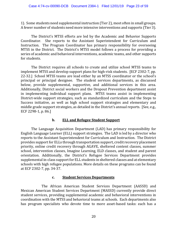1). Some students need supplemental instruction (Tier 2), most often in small groups. A fewer number of students need more intensive interventions and supports (Tier 3).

The District's MTSS efforts are led by the Academic and Behavior Supports Coordinator. She reports to the Assistant Superintendent for Curriculum and Instruction. The Program Coordinator has primary responsibility for overseeing MTSS in the District. The District's MTSS model follows a process for providing a series of academic and behavioral interventions, academic teams, and other supports for students.

The District requires all schools to create and utilize school MTSS teams to implement MTSS and develop support plans for high‐risk students. [ECF 2302‐7, pp. 22‐32.] School MTSS teams are lead either by an MTSS coordinator or the school's principal or principal designee. The student services departments, as discussed below, provide supplemental, supportive, and additional services in this area. Additionally, District social workers and the Dropout Prevention department assist in implementing individual support plans. MTSS teams assist in implementing District-wide support strategies, such as standardized curriculum and the Steps to Success initiative, as well as high school support strategies and elementary and middle grade support strategies, as detailed in the District's annual reports. [See, e.g., ECF 2298‐1, p. 86.]

#### **b. ELL and Refugee Student Support**

The Language Acquisition Department (LAD) has primary responsibility for English Language Learner (ELL) support strategies. The LAD is led by a director who reports to the Assistant Superintendent for Curriculum and Instruction. The District provides support for ELLs through transportation support, credit recovery placement priority, online credit recovery through AGAVE, sheltered content classes, summer school, intervention classes, Imagine Learning, ELD classes, and student and parent orientation. Additionally, the District's Refugee Services Department provides supplemental in‐class support for ELL students in sheltered classes and at elementary schools with high refugee populations. More details on these programs can be found at ECF 2302‐7, pp. 34‐37.

#### **c. Student Services Departments**

 The African American Student Services Department (AASSD) and Mexican American Student Services Department (MASSD) currently provide direct student services, providing supplemental academic and behavioral interventions in coordination with the MTSS and behavioral teams at schools. Each departments also has program specialists who devote time to more asset-based tasks: each has a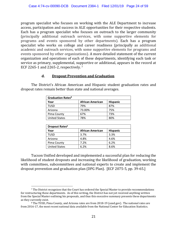program specialist who focuses on working with the ALE Department to increase access, participation and success in ALE opportunities for their respective students. Each has a program specialist who focuses on outreach to the larger community (principally additional outreach services, with some supportive elements for programs and events sponsored by other departments). Each has a program specialist who works on college and career readiness (principally as additional academic and outreach services, with some supportive elements for programs and events sponsored by other organizations). A more detailed statement of the current organization and operations of each of these departments, identifying each task or service as primary, supplemental, supportive or additional, appears in the record at ECF 2265‐1 and 2265‐2, respectively. 7

# **d. Dropout Prevention and Graduation**

The District's African American and Hispanic student graduation rates and dropout rates remain better than state and national averages.

| <b>Graduation Rates<sup>8</sup></b> |                         |                 |  |  |  |  |
|-------------------------------------|-------------------------|-----------------|--|--|--|--|
| Year                                | <b>African American</b> | <b>Hispanic</b> |  |  |  |  |
| TUSD                                | 79%                     | 87%             |  |  |  |  |
| Arizona                             | 73.00%                  | 75%             |  |  |  |  |
| Pima County                         | 67%                     | 73%             |  |  |  |  |
| <b>United States</b>                | 78%                     | 80%             |  |  |  |  |

| <b>Dropout Rates<sup>8</sup></b> |                         |                 |  |  |  |  |
|----------------------------------|-------------------------|-----------------|--|--|--|--|
| Year                             | <b>African American</b> | <b>Hispanic</b> |  |  |  |  |
| TUSD                             | 3.7%                    | 3.3%            |  |  |  |  |
| Arizona                          | 4.8%                    | 4.6%            |  |  |  |  |
| Pima County                      | 7.2%                    | 6.2%            |  |  |  |  |
| <b>United States</b>             | 6.2%                    | 8.6%            |  |  |  |  |

Tucson Unified developed and implemented a successful plan for reducing the likelihood of student dropouts and increasing the likelihood of graduation, working with committees, subcommittees and national experts to create and implement the dropout prevention and graduation plan (DPG Plan). [ECF 2075‐5, pp. 39‐65.]

 $\overline{a}$ 

<sup>7</sup> The District recognizes that the Court has ordered the Special Master to provide recommendations for restructuring these departments. As of this writing, the District has not yet received anything written from the Special Master outlining his proposals, and thus this executive summary presents these departments as they currently exist.<br><sup>8</sup> The TUSD, Pima County, and Arizona rates are from 2018-19 (azed.gov). The national rates are

from 2016-17, the most recent national data available from the National Center for Education Statistics.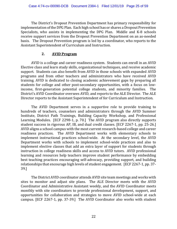The District's Dropout Prevention Department has primary responsibility for implementation of the DPG Plan. Each high school has or shares a Dropout Prevention Specialists, who assists in implementing the DPG Plan. Middle and K-8 schools receive support services from the Dropout Prevention Department on an as-needed basis. The Dropout Prevention program is led by a coordinator, who reports to the Assistant Superintendent of Curriculum and Instruction.

#### **2. AVID Program**

 AVID is a college and career readiness system. Students can enroll in an AVID Elective class and learn study skills, organizational techniques, and receive academic support. Students can also benefit from AVID in those schools with expanded AVID programs and from other teachers and administrators who have received AVID training. AVID is dedicated to closing academic achievement gaps by preparing all students for college and other post‐secondary opportunities, with a focus on low‐ income, first-generation potential college students, and minority families. The District's AVID Coordinator oversees AVID, and reports to the ALE Director. The ALE Director reports to the Assistant Superintendent of for Curriculum and Instruction.

 The AVID Department serves in a supportive role to provide training to hundreds of teachers, counselors and administrators through the AVID Summer Institute, District Path Trainings, Building Capacity Workshop, and Professional Learning Modules. [ECF 2298‐1, p. 70.] The AVID program also directly supports student success in rigorous AP, IB, and dual credit classes. [ECF 2267‐1, pp. 25‐26.] AVID aligns a school campus with the most current research‐based college and career readiness practices. The AVID Department works with elementary schools to implement instructional practices school-wide. At the secondary level, the AVID Department works with schools to implement school-wide practices and also to implement elective classes that add an extra layer of support for students through instruction in college readiness skills and access to AVID tutors. AVID professional learning and resources help teachers improve student performance by embedding best teaching practices encouraging self‐advocacy, providing support, and building relationships that encourage high levels of student engagement. [ECF 2267‐1, pp. 37‐ 39.]

 The District AVID coordinator attends AVID site team meetings and works with sites to monitor and adjust site plans. The ALE Director meets with the AVID Coordinator and Administrative Assistant weekly, and the AVID Coordinator meets monthly with site coordinators to provide professional development, support, and opportunities for collaboration and strategies to move AVID school‐wide at each campus. [ECF 2267‐1, pp. 37‐39.] The AVID Coordinator also works with student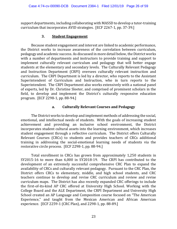support departments, including collaborating with MASSD to develop a tutor-training curriculum that incorporates AVID strategies. [ECF 2267‐1, pp. 37‐39.]

#### **3. Student Engagement**

 Because student engagement and interest are linked to academic performance, the District works to increase awareness of the correlation between curriculum, pedagogy and academic success. As discussed in more detail below, the District works with a number of departments and instructors to provide training and support to implement culturally relevant curriculum and pedagogy that will better engage students at the elementary and secondary levels. The Culturally Relevant Pedagogy and Instruction Department (CRPI) oversees culturally relevant instruction and curriculum. The CRPI Department is led by a director, who reports to the Assistant Superintendent of Curriculum and Instruction, who in turn reports to the Superintendent. The CRPI Department also works extensively with a national panel of experts, led by Dr. Christine Sleeter, and comprised of prominent scholars in the field, to develop and implement the District's culturally responsive education program. [ECF 2298‐1, pp. 88‐94.]

# **a. Culturally Relevant Courses and Pedagogy**

The District works to develop and implement methods of addressing the social, emotional, and intellectual needs of students. With the goals of increasing student achievement and providing an inclusive school environment, the District incorporates student cultural assets into the learning environment, which increases student engagement through a reflective curriculum. The District offers Culturally Relevant Courses (CRCs) to students and provides teachers of CRCs additional training in addressing the social‐emotional learning needs of students via the restorative circle process. [ECF 2298‐1, pp. 88‐94.]

Total enrollment in CRCs has grown from approximately 1,250 students in SY2015-16 to more than 6,000 in SY2018-19. The CRPI has contributed to the development of an extremely successful comprehensive CRC Plan to expand the availability of CRCs and culturally relevant pedagogy. Pursuant to the CRC Plan, the District offers CRCs to elementary, middle, and high school students, and CRC teachers continue to develop and revise CRC curriculum and review and revise curriculum maps. The District has also recently expanded CRC offerings to include the first‐of‐its‐kind AP CRC offered at University High School. Working with the College Board and the ALE Department, the CRPI Department and University High School created an AP Language and Composition course focused on "The American Experience," and taught from the Mexican American and African American experience. [ECF 2259‐1 (CRC Plan), and 2298‐1, pp. 88‐89.]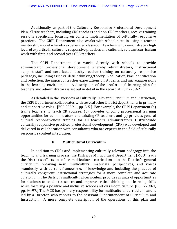Additionally, as part of the Culturally Responsive Professional Development Plan, all site teachers, including CRC teachers and non‐CRC teachers, receive training sessions specifically focusing on content implementation of culturally responsive practices. The CRPI Department also works with school sites in using a teacher mentorship model whereby experienced classroom teachers who demonstrate a high level of expertise in culturally responsive practices and culturally relevant curriculum work with first- and second-year CRC teachers.

The CRPI Department also works directly with schools to provide administrator professional development whereby administrators, instructional support staff, and certificated faculty receive training on culturally responsive pedagogy, including asset vs. deficit thinking/theory in education, bias identification and reduction, the impact of teacher expectations on students, and microaggressions in the learning environment. A description of the professional learning plan for teachers and administrators is set out in detail in the record at ECF 2259‐2.

As detailed in the Overview of Culturally Relevant Curriculum and Instruction, the CRPI Department collaborates with several other District departments in primary and supportive roles. [ECF 2259-1, pp. 3-5.] For example, the CRPI Department (a) trains teachers to teach CR courses, (b) provides ongoing professional learning opportunities for administrators and existing CR teachers, and (c) provides general cultural responsiveness training for all teachers, administrators. District‐wide culturally responsive practices professional development (CRP) was developed and delivered in collaboration with consultants who are experts in the field of culturally responsive content integration.

#### **b. Multicultural Curriculum**

In addition to CRCs and implementing culturally-relevant pedagogy into the teaching and learning process, the District's Multicultural Department (MCD) leads the District's efforts to infuse multicultural curriculum into the District's general curriculum, weaving new, multicultural materials, perspectives, and voices seamlessly with current frameworks of knowledge and including the practice of culturally congruent instructional strategies for a more complete and accurate curriculum. The District's multicultural curriculum provides a range of opportunities for students to conduct research and improve critical thinking and learning skills while fostering a positive and inclusive school and classroom culture. [ECF 2298‐1, pp. 94‐97.] The MCD has primary responsibility for multicultural curriculum, and is led by a Director, who reports to the Assistant Superintendent of Curriculum and Instruction. A more complete description of the operations of this plan and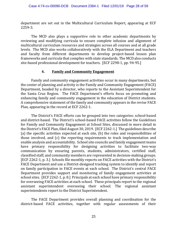department are set out in the Multicultural Curriculum Report, appearing at ECF 2259‐3.

The MCD also plays a supportive role to other academic departments by reviewing and modifying curricula to ensure complete infusion and alignment of multicultural curriculum resources and strategies across all courses and at all grade levels. The MCD also works collaboratively with the ELA Department and teachers and faculty from different departments to develop project‐based lesson plan frameworks and curricula that complies with state standards. The MCD also conducts site-based professional development for teachers. [ECF 2298-1, pp. 94-95.]

#### **4. Family and Community Engagement**

 Family and community engagement activities occur in many departments, but the center of planning and activity is the Family and Community Engagement (FACE) Department, headed by a director, who reports to the Assistant Superintendent for the Santa Cruz Region. The FACE Department's efforts focus on promoting and enhancing family and community engagement in the education of District students. A comprehensive statement of the family and community appears in the revise FACE Plan, appearing in the record at ECF 2262‐1.

 The District's FACE efforts can be grouped into two categories: school‐based and district-based. The District's school-based FACE activities follow the Guidelines for Family and Community Engagement at School Sites, discussed in more detail in the District's FACE Plan, filed August 30, 2019. [ECF 2262‐1.] The guidelines describe (a) the specific activities expected at each site, (b) the roles and responsibilities of those involved, and (c) the reporting requirements to track implementation and enable analysis and accountability. School site councils and family engagement teams have primary responsibility for designing activities to facilitate two-way communication by ensuring parents, students, administrators, certified staff, classified staff, and community members are represented in decision‐making groups. [ECF 2262‐1, p. 3.] Schools file monthly reports on FACE activities with the District's FACE Department and use a District-designed tracking system to identify and report on family participation in FACE events at each school. The District's central FACE Department provides support and monitoring of family engagement activities at school sites. [ECF 2262‐1, p. 8.] Principals at each school have primary responsibility for overseeing FACE activities at each school. These principals report to the regional assistant superintendent overseeing their school. The regional assistant superintendents report to the District Superintendent.

 The FACE Department provides overall planning and coordination for the district-based FACE activities, together with regular assessments of their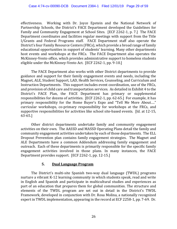effectiveness. Working with Dr. Joyce Epstein and the National Network of Partnership Schools, the District's FACE Department developed the Guidelines for Family and Community Engagement at School Sites. [ECF 2262‐1, p. 7.] The FACE Department coordinates and facilities regular meetings with support from the Title I/Grants and Federal Programs staff. FACE Department staff also operate the District's four Family Resource Centers (FRCs), which provide a broad range of family educational opportunities in support of students' learning. Many other departments host events and workshops at the FRCs. The FACE Department also operates the McKinney‐Vento office, which provides administrative support to homeless students eligible under the McKinney‐Vento Act. [ECF 2262‐1, pp. 9‐10.]

 The FACE Department also works with other District departments to provide guidance and support for their family engagement events and needs, including the Magnet, ALE, Student Support, LAD, Health Services, Counseling, and Curriculum and Instruction Departments. This support includes event coordination, use of the FRCs, and provision of child care and transportation services. As detailed in Exhibit 4 to the District's FACE Plan, the FACE Department has primary or supplemental responsibilities for dozens of activities. [ECF 2262‐1, pp. 62‐65.] For example, it has primary responsibility for the Home Buyer's Expo and "Tell Me More About…." curricular workshops, co‐primary responsibility for workshops at the FRCs, and supportive responsibilities for activities like school site‐based events. [Id. at 12‐15, 63‐65.]

 Other district departments undertake family and community engagement activities on their own. The AASSD and MASSD Operating Plans detail the family and community engagement activities undertaken by each of those departments. The ELL Dropout Prevention plan contains family engagement strategies. The Magnet and ALE Departments have a common Addendum addressing family engagement and outreach. Each of these departments is primarily responsible for the specific family engagement activities involved in those plans. In many instances, the FACE Department provides support. [ECF 2262‐1, pp. 12‐15.]

#### **5. Dual Language Program**

The District's multi-site Spanish two-way dual language (TWDL) programs nurture a vibrant K‐12 learning community in which students speak, read and write in English and Spanish and participate in multicultural studies and experiences as part of an education that prepares them for global communities. The structure and elements of the TWDL program are set out in detail in the District's TWDL Framework, developed in conjunction with Dr. Rosa Molina, a nationally recognized expert in TWDL implementation, appearing in the record at ECF 2258‐1, pp. 7‐69. Dr.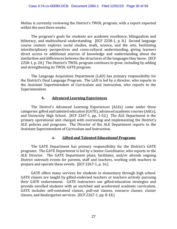Molina is currently reviewing the District's TWDL program, with a report expected within the next three weeks.

 The program's goals for students are academic excellence, bilingualism and biliteracy, and multicultural understanding. [ECF 2258‐1, p. 8.] Second language course content explores social studies, math, science, and the arts, facilitating interdisciplinary perspectives and cross-cultural understanding, giving learners direct access to additional sources of knowledge and understanding about the similarities and differences between the structures of the languages they know. [ECF 2258‐1, p. 20.] The District's TWDL program continues to grow, including by adding and strengthening its TWDL GATE program.

 The Language Acquisition Department (LAD) has primary responsibility for the District's Dual Language Program. The LAD is led by a director, who reports to the Assistant Superintendent of Curriculum and Instruction, who reports to the Superintendent.

#### **6. Advanced Learning Experiences**

 The District's Advanced Learning Experiences (ALEs) come under three categories: gifted and talented education (GATE), advanced academic courses (AACs), and University High School. [ECF 2267‐1, pp. 1‐52.] The ALE Department is the primary operational unit charged with overseeing and implementing the District's ALE policies and programs. The Director of the ALE Department reports to the Assistant Superintendent of Curriculum and Instruction.

#### **a. Gifted and Talented Educational Programs**

 The GATE Department has primary responsibility for the District's GATE programs. The GATE Department is led by a Senior Coordinator, who reports to the ALE Director. The GATE Department plans, facilitates, and/or attends ongoing District outreach events for parents, staff and teachers, working with teachers to prepare and operate these events. [ECF 2267‐1, p. 16.]

 GATE offers many services for students in elementary through high school. GATE classes are taught by gifted‐endorsed teachers or teachers actively pursuing their GATE endorsement. GATE instructors use gifted‐education strategies and provide enrolled students with an enriched and accelerated academic curriculum. GATE includes self‐contained classes, pull‐out classes, resource classes, cluster classes, and kindergarten services. [ECF 2267‐1, pp. 8‐18.]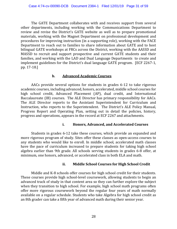The GATE Department collaborates with and receives support from several other departments, including working with the Communications Department to review and revise the District's GATE website as well as to prepare promotional materials, working with the Magnet Department on professional development and procedures for improving instruction (in a supporting role), working with the FACE Department to reach out to families to share information about GATE and to host bilingual GATE workshops at FRCs across the District, working with the AASSD and MASSD to recruit and support prospective and current GATE students and their families, and working with the LAD and Dual Language Departments to create and implement guidelines for the District's dual language GATE program. [ECF 2267‐1, pp. 17‐18.]

#### **b. Advanced Academic Courses**

 AACs provide several options for students in grades 6‐12 to take rigorous academic courses, including advanced, honors, accelerated, middle school courses for high school credit, Advanced Placement (AP), dual credit, and International Baccalaureate (IB) courses. The ALE Director has primary responsibility for AACs. The ALE Director reports to the Assistant Superintendent for Curriculum and Instruction, who reports to the Superintendent. The District's ALE Policy Manual, Progress Report and Operating Plan, setting out in detail the policies, history, progress and operations, appears in the record at ECF 2267 and attachments.

#### **i. Honors, Advanced, and Accelerated Courses**

 Students in grades 6‐12 take these courses, which provide an expanded and more rigorous program of study. Sites offer these classes as open‐access courses to any students who would like to enroll. In middle school, accelerated math classes have the pace of curriculum increased to prepare students for taking high school algebra earlier than 9th grade. All schools serving students in grades 6‐8 offer, at minimum, one honors, advanced, or accelerated class in both ELA and math.

# **ii. Middle School Courses for High School Credit**

Middle and K-8 schools offer courses for high school credit for their students. These courses provide high school‐level coursework, allowing students to begin an advanced track of study in that content area so they can further explore the subject when they transition to high school. For example, high school math programs often offer more rigorous coursework beyond the regular four years of math normally available on a regular schedule. Students who take Algebra for high school credit as an 8th grader can take a fifth year of advanced math during their senior year.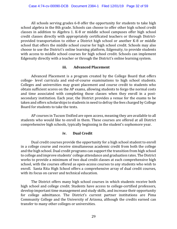All schools serving grades 6‐8 offer the opportunity for students to take high school algebra in the 8th grade. Schools can choose to offer other high school credit classes in addition to Algebra 1. K‐8 or middle school campuses offer high school credit classes directly with appropriately certificated teachers or through District‐ provided transportation to either a District high school or another K‐8 or middle school that offers the middle school course for high school credit. Schools may also choose to use the District's online learning platform, Edgenuity, to provide students with access to middle school courses for high school credit. Schools can implement Edgenuity directly with a teacher or through the District's online learning system.

#### **iii. Advanced Placement**

 Advanced Placement is a program created by the College Board that offers college‐ level curricula and end‐of‐course examinations to high school students. Colleges and universities may grant placement and course credit to students who obtain sufficient scores on the AP exams, allowing students to forgo the normal costs and time associated with completing those classes when they enroll in a postsecondary institution. Each year, the District provides a venue for the exams to be taken and offers scholarships to students in need to defray the fees charged by College Board for students to take the tests.

 AP courses in Tucson Unified are open access, meaning they are available to all students who would like to enroll in them. These courses are offered at all District comprehensive high schools, typically beginning in the student's sophomore year.

#### **iv. Dual Credit**

 Dual credit courses provide the opportunity for a high school student to enroll in a college course and receive simultaneous academic credit from both the college and the high school. Dual credit programs can support the transition from high school to college and improve students' college attendance and graduation rates. The District works to provide a minimum of two dual credit classes at each comprehensive high school, with the courses offered as open‐access courses to any students who wish to enroll. Santa Rita High School offers a comprehensive array of dual credit courses, with its focus on career and technical education.

 The District offers many high school courses in which students receive both high school and college credit. Students have access to college-certified professors, develop important time management and study skills, and increase their opportunity for college admittance. The District's current partner institutions are Pima Community College and the University of Arizona, although the credits earned can transfer to many other colleges or universities.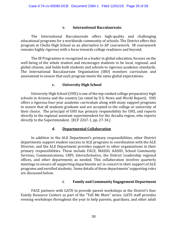#### **v. International Baccalaureate.**

 The International Baccalaureate offers high‐quality and challenging educational programs for a worldwide community of schools. The District offers this program at Cholla High School as an alternative to AP coursework. IB coursework remains highly rigorous with a focus towards college readiness and beyond.

 The IB Programme is recognized as a leader in global education, focuses on the well-being of the whole student and encourages students to be local, regional, and global citizens, and holds both students and schools to rigorous academic standards. The International Baccalaureate Organization (IBO) monitors curriculum and assessment to ensure that each program meets the same global expectations.

#### **c. University High School**

 University High School (UHS) is one of the top‐ranked college preparatory high schools in Arizona and the country (as rated by U.S. News and World Report). UHS offers a rigorous four‐year academic curriculum along with many support programs to ensure that all students graduate and are accepted to the college or university of their choice. The principal of UHS has primary responsibility for UHS, and reports directly to the regional assistant superintendent for the Arcadia region, who reports directly to the Superintendent. [ECF 2267‐1, pp. 27‐34.]

#### **d. Departmental Collaboration**

 In addition to the ALE Department's primary responsibilities, other District departments support student success in ALE programs in coordination with the ALE Director, and the ALE Department provides support to other organizations in their primary responsibilities. These include FACE, MASSD, AASSD, School Community Services, Communications, CRPI, Interscholastics, the District Leadership regional offices, and other departments as needed. This collaboration involves quarterly meetings to ensure all supporting departments act in concert in their support of ALE programs and enrolled students. Some details of these departments' supporting roles are discussed below.

#### **i. Family and Community Engagement Department**

 FACE partners with GATE to provide parent workshops at the District's four Family Resource Centers as part of the "Tell Me More" series. GATE staff provides evening workshops throughout the year to help parents, guardians, and other adult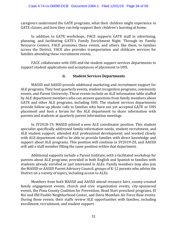caregivers understand the GATE programs, what their children might experience in GATE classes, and how they can help support their children's learning at home.

 In addition to GATE workshops, FACE supports GATE staff in advertising, planning, and facilitating GATE's Family Enrichment Night. Through its Family Resource Centers, FACE promotes these events, and others like them, to families across the District. FACE also provides transportation and childcare services for families attending these recruitment events.

 FACE collaborates with UHS and the student support services departments to support student applications and acceptances of placement to UHS.

#### **ii. Student Services Departments**

 MASSD and AASSD provide additional marketing and recruitment support for ALE programs. They host quarterly events, student recognition programs, community events, and Parent University. These events include an ALE information table staffed by ALE department members who can answer questions from family members about GATE and other ALE programs, including UHS. The student services departments provide follow‐up phone calls to families who have not yet accepted GATE or UHS placement and host a forum for the ALE department to share information with parents and students at quarterly parent information meetings.

 In SY2018‐19, MASSD piloted a new ALE coordinator position. This student specialist specifically addressed family information needs, student recruitment, and ALE student support; attended ALE professional development; and worked closely with ALE department staff to be able to provide families with direct knowledge and support about ALE programs. This position will continue in SY2019‐20, and AASSD will add a staff member filling the same position within that department.

 Additional supports include a Parent Institute, with a facilitated workshop for parents about ALE programs, provided in both English and Spanish to families with students already enrolled or just interested in ALEs. Family members may also join the MASSD or AASSD Parent Advisory Council, groups of K‐12 parents who advise the District on a variety of topics, including access to ALEs.

 Members from both MASSD and AASSD attend resource fairs, county‐created family engagement events, church and civic organization events, city‐sponsored events, the Pima County Coalition for Prevention, Head Start preschool programs, El Rio and Old Pueblo Neighborhood Center, and Davis Monthan Air Force Base events. During these events, their staffs review ALE opportunities with families, including enrollment, recruitment, and student support.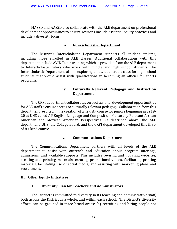MASSD and AASSD also collaborate with the ALE department on professional development opportunities to ensure sessions include essential equity practices and include a diversity focus.

#### **iii. Interscholastic Department**

 The District's Interscholastic Department supports all student athletes, including those enrolled in ALE classes. Additional collaborations with this department include AVID Tutor training, which is provided from the ALE department to Interscholastic tutors who work with middle and high school students. The Interscholastic Department also is exploring a new dual credit class for high school students that would assist with qualifications in becoming an official for sports programs.

#### **iv. Culturally Relevant Pedagogy and Instruction Department**

 The CRPI department collaborates on professional development opportunities for ALE staff to ensure access to culturally relevant pedagogy. Collaboration from this department resulted in the creation of a new AP course for juniors beginning in SY19‐ 20 at UHS called AP English Language and Composition: Culturally Relevant African American and Mexican American Perspectives. As described above, the ALE department, UHS, the College Board, and the CRPI department developed this first‐ of‐its‐kind course.

#### **v. Communications Department**

 The Communications Department partners with all levels of the ALE department to assist with outreach and education about program offerings, admissions, and available supports. This includes revising and updating websites, creating and printing materials, creating promotional videos, facilitating printing materials, facilitating use of social media, and assisting with marketing plans and recruitment.

#### **III. Other Equity Initiatives**

#### **A. Diversity Plan for Teachers and Administrators**

The District is committed to diversity in its teaching and administrative staff, both across the District as a whole, and within each school. The District's diversity efforts can be grouped in three broad areas: (a) recruiting and hiring people not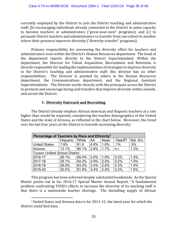currently employed by the District to join the District teaching and administrative staff; (b) encouraging individuals already connected to the District in some capacity to become teachers or administrators ("grow‐your‐own" programs); and (c) to persuade District teachers and administrators to transfer from one school to another where their presence improves diversity ("diversity transfer" programs).

 Primary responsibility for overseeing the diversity effort for teachers and administrators rests within the District's Human Resources department. The head of the department reports directly to the District Superintendent. Within the department, the Director for Talent Acquisition, Recruitment and Retention is directly responsible for leading the implementation of strategies to improve diversity in the District's teaching and administrative staff; this director has no other responsibilities. The Director is assisted by others in the Human Resources department, the Communications department, and the Regional Assistant Superintendents. The Director works directly with the principals across the District to promote and encourage hiring and transfers that improve diversity within schools, and across the District.

# **1. Diversity Outreach and Recruiting**.

 The District already employs African American and Hispanic teachers at a rate higher than would be expected, considering the teacher demographics of the United States and the state of Arizona, as reflected in the chart below. Moreover, the trend over the last four years at the District is towards increasing diversity:

| Percentage of Teachers by Race and Ethnicity <sup>9</sup> |          |       |      |       |        |          |
|-----------------------------------------------------------|----------|-------|------|-------|--------|----------|
|                                                           | Hispanic | White | AA   | Asian | Haw/Pl | Nat. Am. |
| <b>United States</b>                                      | 7.8%     | 81.9  | 6.8% | 1.8%  | $.1\%$ | .5%      |
| Arizona                                                   | 13.1%    | 80.1% | 2.8% | 1.7%  | n.r.   | 1.3%     |
| <b>Tucson Unified School District</b>                     |          |       |      |       |        |          |
| 2016-17                                                   | 28.1%    | 65.4% | 3.0% | 1.8%  | 0.2%   | 1.4%     |
| 2017-18                                                   | 29.1%    | 64.2% | 2.9% | 2.0%  | 0.2%   | 1.5%     |
| 2018-19                                                   | 29.0%    | 63.0% | 3.4% | 2.8%  | 0.3%   | 1.4%     |
| 2019-20                                                   | 30.0%    | 61.9% | 3.4% | 2.9%  | 0.2%   | 1.6%     |

 This progress has been achieved despite substantial headwinds. As the Special Master points out in his 2016‐17 Special Master Annual Report, "A fundamental problem confronting TUSD's efforts to increase the diversity of its teaching staff is that there is a nationwide teacher shortage. The dwindling supply of African

 $\overline{a}$ 

<sup>9</sup> United States and Arizona data is for 2011‐12, the latest year for which the District could find data.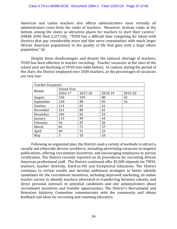American and Latino teachers also affects administrators since virtually all administrators come from the ranks of teachers. Moreover, Arizona ranks at the bottom among the states as attractive places for teachers to start their careers." [SMAR 2096 filed 2/27/18]. "TUSD has a difficult time competing for talent with districts that pay considerably more and that serve communities with much larger African American populations in the quality of life that goes with a large ethnic population." Id.

 Despite these disadvantages, and despite the national shortage of teachers, TUSD has been effective in teacher recruiting. Teacher vacancies at the start of the school year are declining at TUSD (see table below). In context, during the period of the chart, the District employed over 2500 teachers, so the percentages of vacancies are very low:

| <b>Teacher Vacancies</b> |             |         |         |         |  |  |  |
|--------------------------|-------------|---------|---------|---------|--|--|--|
|                          | School Year |         |         |         |  |  |  |
| Month                    | 2016-17     | 2017-18 | 2018-19 | 2019-20 |  |  |  |
| August                   | 158         | 109     | 88      | 62      |  |  |  |
| September                | 128         | 88      | 83      | 56      |  |  |  |
| October                  | 114         | 81      | 61      |         |  |  |  |
| November                 | 121         | 80      | 62      |         |  |  |  |
| December                 | 106         | 81      | 53      |         |  |  |  |
| anuary]                  | 115         | 89      | 64      |         |  |  |  |
| February                 | 96          | 87      | 56      |         |  |  |  |
| March                    | 81          | 71      | 57      |         |  |  |  |
| April                    | 69          | 51      | 23      |         |  |  |  |
| May                      | 3           | 10      | 10      |         |  |  |  |

 Following an organized plan, the District used a variety of methods to attract a racially and ethnically diverse workforce, including advertising vacancies in targeted publications, offering recruitment incentives, and encouraging employees to pursue certification. The District recently reported on its procedures for recruiting African American professional staff. The District continued offer \$5,000 stipends for TWDL teachers, teacher diversity, Hard‐to‐Fill and Exceptional Education. The District continues to review results and develop additional strategies to better identify candidates for the recruitment incentives, including improved marketing, an online teacher survey to identify teachers interested in transferring between schools, and direct personal outreach to potential candidates and site administrators about recruitment incentives and transfer opportunities. The District's Recruitment and Retention Advisory Committee communicates with the community and obtain feedback and ideas for recruiting and retaining educators.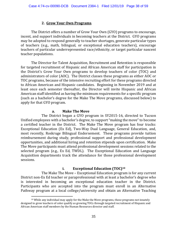# **2. Grow Your Own Programs**.

 The District offers a number of Grow Your Own (GYO) programs to encourage, incent, and support individuals in becoming teachers at the District. GYO programs may be adopted to respond generally to teacher shortages, generate particular types of teachers (e.g., math, bilingual, or exceptional education teachers), encourage teachers of particular underrepresented race/ethnicity, or target particular nascent teacher populations.

 The Director for Talent Acquisition, Recruitment and Retention is responsible for targeted recruitment of Hispanic and African American staff for participation in the District's Grow Your Own programs to develop teachers of color (TOC) and administrators of color (AOC). The District classes these programs as either AOC or TOC programs, because of the intensive recruiting effort for these programs directed to African American and Hispanic candidates. Beginning in November 2019 and at least once each semester thereafter, the Director will invite Hispanic and African American staff identified as having the minimum requirements for a specific program (such as a bachelor's degree for the Make The Move programs, discussed below) to apply for that GYO program.

#### **a. Make The Move**

 The District began a GYO program in SY2015‐16, directed to Tucson Unified employees with a bachelor's degree, to support "making the move" to become a certified teacher in the District. The Make The Move program has four tracks: Exceptional Education (Ex Ed), Two‐Way Dual Language, General Education, and, most recently, Roskruge Bilingual Endorsement. These programs provide tuition reimbursement during study, professional support and professional development opportunities, and additional hiring and retention stipends upon certification. Make The Move participants must attend professional development sessions related to the selected program (e.g., Ex Ed, TWDL). The Exceptional Education and Language Acquisition departments track the attendance for those professional development sessions.

## **i. Exceptional Education (TOC)10**

 The Make The Move – Exceptional Education program is for any current District non‐Ex Ed teacher or paraprofessional with at least a bachelor's degree who is interested in becoming an exceptional education teacher in the District. Participants who are accepted into the program must enroll in an Alternative Pathway program at a local college/university and obtain an Alternative Teaching

 $\overline{a}$ 

 $10$  While any individual may apply for the Make the Move programs, those programs not innately designed to grow teachers of color qualify as growing TOCs through targeted recruitment of Hispanic and African American staff members by the Human Resources director and staff.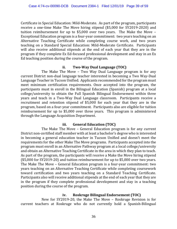Certificate in Special Education: Mild‐Moderate. As part of the program, participants receive a one-time Make The Move hiring stipend (\$5,000 for SY2019-2020) and tuition reimbursement for up to \$5,000 over two years. The Make the Move – Exceptional Education program is a four‐year commitment: two years teaching on an Alternative Teaching Certificate while completing course work, and two years teaching on a Standard Special Education: Mild‐Moderate Certificate. Participants will also receive additional stipends at the end of each year that they are in the program if they complete Ex Ed‐focused professional development and stay in an Ex Ed teaching position during the course of the program.

#### **ii. Two-Way Dual Language (TOC)**

 The Make The Move – Two Way Dual Language program is for any current District non‐dual language teacher interested in becoming a Two Way‐Dual Language Teacher in Tucson Unified. Applicants recommended for the program must meet minimum certification requirements. Once accepted into the program, the participants must in enroll in the Bilingual Education (Spanish) program at a local college/university to obtain the Full Spanish Bilingual Endorsement within three years and teach in a Two‐Way Dual Language classroom. Participants receive a recruitment and retention stipend of \$5,000 for each year that they are in the program, based on a four‐year commitment. Participants also are eligible for tuition reimbursement for up to \$5,000 over three years. This program is administered through the Language Acquisition Department.

# **iii. General Education (TOC)**

 The Make The Move – General Education program is for any current District non‐certified staff member with at least a bachelor's degree who is interested in becoming a general education teacher in Tucson Unified and doesn't meet the requirements for the other Make The Move programs. Participants accepted into the program must enroll in an Alternative Pathway program at a local college/university and obtain an Alternative Teaching Certificate in the area in which they plan to teach. As part of the program, the participants will receive a Make the Move hiring stipend (\$5,000 for SY2019‐20) and tuition reimbursement for up to \$5,000 over two years. The Make The Move – General Education program is a four‐year commitment: two years teaching on an Alternative Teaching Certificate while completing coursework toward certification and two years teaching on a Standard Teaching Certificate. Participants also will receive additional stipends at the end of each year that they are in the program if they complete professional development and stay in a teaching position during the course of the program.

#### **iv. Roskruge Bilingual Endorsement (TOC)**

 New for SY2019‐20, the Make The Move – Roskruge Revision is for current teachers at Roskruge who do not currently hold a Spanish‐Bilingual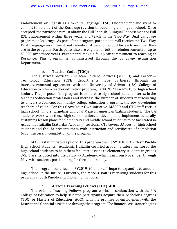Endorsement or English as a Second Language (ESL) Endorsement and want to commit to be a part of the Roskruge revision to becoming a bilingual school. Once accepted, the participants must obtain the Full Spanish‐Bilingual Endorsement or Full ESL Endorsement within three years and teach in the Two‐Way Dual Language program at Roskruge. As part of the program, participants will receive the Two‐Way Dual Language recruitment and retention stipend of \$5,000 for each year that they are in the program. Participants also are eligible for tuition reimbursement for up to \$5,000 over three years. Participants make a four-year commitment to teaching at Roskruge. This program is administered through the Language Acquisition Department.

#### **b. Teacher Cadet (TOC):**

The District's Mexican American Student Services (MASSD) and Career & Technology Education (CTE) departments have partnered through an intergovernmental agreement with the University of Arizona (UA) College of Education to offer a teacher education program, EachONE/TeachONE, for high school juniors. The purpose of the program is to increase high school student interest in the teaching/education professions and increase the number of students matriculating to university/college/community college education programs, thereby developing teachers of color. For this Grow Your Own initiative, MASSD and CTE staff recruit high school juniors, targeting bilingual Mexican American/Latinx students. The UA students work with these high school juniors to develop and implement culturally sustaining lesson plans for elementary and middle school students to be facilitated in Academia Huitzilin (Saturday Academy) sessions. CTE covers UA fees for high school students and the UA presents them with instruction and certificates of completion (upon successful completion of the program).

MASSD staff initiated a pilot of this program during SY2018‐19 with six Pueblo High School students. Academia Huitzilin certified academic tutors mentored the high school students to help them facilitate lessons to elementary students in grades 3‐5. Parents opted into the Saturday Academy, which ran from November through May, with students participating for three hours daily.

The program continues in SY2019‐20 and staff hope to expand it to another high school in the future. Currently, the MASSD staff is recruiting students for this program at both Pueblo and Cholla high schools.

#### **c. Arizona Teaching Fellows (TOC)(AOC):**

The Arizona Teaching Fellows program works in conjunction with the UA College of Education to help selected participants acquire their bachelor's degrees (TOC) or Masters of Education (AOC), with the promise of employment with the District and financial assistance through the program. The financial assistance begins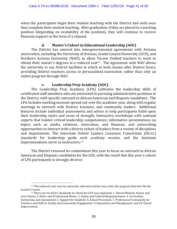when the participants begin their student teaching with the District and ends once they complete their student teaching. After graduation, if they are placed in a teaching position (depending on availability of the position), they will continue to receive financial support in the form of a stipend.

## **d. Master's Cohort in Educational Leadership (AOC)**

The District has entered into intergovernmental agreements with Arizona universities, including the University of Arizona, Grand Canyon University (GCU), and Northern Arizona University (NAU), to allow Tucson Unified teachers to work to obtain their master's degrees at a reduced  $cost<sup>11</sup>$ . The agreement with NAU allows the university to use District facilities in which to hold classes after District hours, providing District teachers access to personalized instruction rather than only an online program through NAU.

# **e. Leadership Prep Academy (AOC)**

The Leadership Prep Academy (LPA) cultivates the leadership skills of certificated staff members who are interested in pursuing administrative positions in the District, with specific outreach to African American and Hispanic candidates. The LPA includes working sessions spread out over the academic year, along with regular meetings to network with District, business, and community leaders. Additional features include individual assessments and advice to help participants build upon their leadership styles and areas of strength; Interactive workshops with national experts that bolster critical leadership competencies; informative presentations on topics such as media relations, innovation, and finances; and networking opportunities to interact with a diverse cohort of leaders from a variety of disciplines and departments. The Interstate School Leaders Licensure Consortium (ISLLC) standards for leadership guide each academy session, and the Assistant Superintendents serve as instructors.12

The District renewed its commitment this year to focus on outreach to African American and Hispanic candidates for the LPA, with the result that this year's cohort of LPA participants is strongly diverse:

 $\overline{a}$ <sup>11</sup> The reduced costs vary by university and each teacher may select the program that best fits the teacher's needs.<br><sup>12</sup> There are ten ISLLC standards by which the LPA was organized: 1. Shared Mission, Vision, and

Core Values; 2. Ethics and Professional Norm;, 3. Equity and Cultural Responsiveness; 4. Curriculum, Instruction, and Assessment; 5. Support for Students; 6. School Personnel; 7. Professional Community for Teachers and Staff; 8. Family and Community Engagement; 9. Operations and Management; and 10. School Improvement.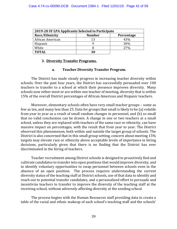| 2019-20 SY LPA Applicants Selected to Participate |               |            |  |  |  |  |
|---------------------------------------------------|---------------|------------|--|--|--|--|
| Race/Ethnicity                                    | <b>Number</b> | Percentage |  |  |  |  |
| African American                                  | 13            | 43%        |  |  |  |  |
| Hispanic                                          |               | 30%        |  |  |  |  |
| White                                             | Χ             | <b>27%</b> |  |  |  |  |
| <b>TOTAL</b>                                      | 30            |            |  |  |  |  |

#### **3. Diversity Transfer Programs.**

#### **a. Teacher Diversity Transfer Program.**

 The District has made steady progress in increasing teacher diversity within schools. Over the past four years, the District has successfully persuaded over 100 teachers to transfer to a school at which their presence improves diversity. Many schools now either meet or are within one teacher of meeting, diversity that is within 15% of the overall District percentages of African American and Hispanic teachers.

 Moreover, elementary schools often have very small teacher groups – some as few as ten, and many less than 25. Data for groups that small is likely to be (a) volatile from year to year as a result of small random changes in personnel, and (b) so small that no valid conclusions can be drawn. A change in one or two teachers at a small school, unless they are replaced with teachers of the same race or ethnicity, can have massive impact on percentages, with the result that from year to year. The District observed this phenomenon, both within and outside the target group of schools. The District is also concerned that in this small group setting, concern about meeting 15% targets may elevate race or ethnicity above acceptable levels of importance in hiring decisions, particularly given that there is no finding that the District has ever discriminated in the hiring of teachers.

Teacher recruitment among District schools is designed to proactively find and cultivate candidates to transfer into open positions that would improve diversity, and to identify voluntary opportunities to swap personnel between schools even in the absence of an open position. The process requires understanding the current diversity status of the teaching staff at District schools, use of that data to identify and reach out to potential transfer candidates, and a personalized effort to persuade and incentivize teachers to transfer to improve the diversity of the teaching staff at the receiving school, without adversely affecting diversity at the sending school.

The process begins with the Human Resources staff providing data to create a table of the racial and ethnic makeup of each school's teaching staff and the schools'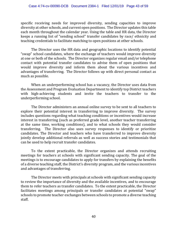specific receiving needs for improved diversity, sending capacities to improve diversity at other schools, and current open positions. The Director updates this table each month throughout the calendar year. Using the table and HR data, the Director keeps a running list of "sending school" transfer candidates by race/ ethnicity and teaching credentials to facilitate matching to open positions at other schools.

The Director uses the HR data and geographic locations to identify potential "swap" school candidates, where the exchange of teachers would improve diversity at one or both of the schools. The Director organizes regular email and/or telephone contact with potential transfer candidates to advise them of open positions that would improve diversity and inform them about the various incentives and advantages of transferring. The Director follows up with direct personal contact as much as possible.

When an underperforming school has a vacancy, the Director uses data from the Assessment and Program Evaluation Department to identify top District teachers with high-achieving students and invite the teachers to transfer to the underperforming school.

The Director administers an annual online survey to be sent to all teachers to explore their potential interest in transferring to improve diversity. The survey includes questions regarding what teaching conditions or incentives would increase interest in transferring (such as preferred grade level, another teacher transferring at the same time, working conditions), and to what schools they would consider transferring. The Director also uses survey responses to identify or prioritize candidates. The Director and teachers who have transferred to improve diversity jointly develop additional referrals as well as success stories and testimonials that can be used to help recruit transfer candidates.

To the extent practicable, the Director organizes and attends recruiting meetings for teachers at schools with significant sending capacity. The goal of the meetings is to encourage candidates to apply for transfers by explaining the benefits of a diverse teaching staff, the District's diversity program, and the various incentives and advantages of transferring.

The Director meets with principals at schools with significant sending capacity to review the importance of diversity and the available incentives, and to encourage them to refer teachers as transfer candidates. To the extent practicable, the Director facilitates meetings among principals or transfer candidates at potential "swap" schools to promote teacher exchanges between schools to promote a diverse teaching staff.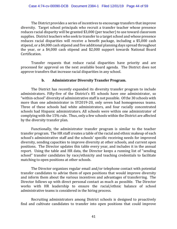The District provides a series of incentives to encourage transfers that improve diversity. Target school principals who recruit a transfer teacher whose presence reduces racial disparity will be granted \$3,000 (per teacher) to use toward classroom supplies. District teachers who seek to transfer to a target school and whose presence reduces racial disparities will receive a benefit package, including a \$5,000 cash stipend, or a \$4,000 cash stipend and five additional planning days spread throughout the year, or a \$4,000 cash stipend and \$2,000 support towards National Board Certification.

 Transfer requests that reduce racial disparities have priority and are processed for approval on the next available board agenda. The District does not approve transfers that increase racial disparities in any school.

#### **b. Administrator Diversity Transfer Program.**

The District has recently expanded its diversity transfer program to include administrators. Fifty‐five of the District's 85 schools have one administrator, so "within‐school" diversity of administrative staff is not possible. Of the 30 schools with more than one administrator in SY2019-20, only seven had homogeneous teams. Three of these schools had white administrators, and four racially concentrated schools had Hispanic administrators. All schools were within one administrator of complying with the 15% rule. Thus, only a few schools within the District are affected by the diversity transfer plan.

 Functionally, the administrator transfer program is similar to the teacher transfer program. The HR staff creates a table of the racial and ethnic makeup of each school's administrative staff and the schools' specific receiving needs for improved diversity, sending capacities to improve diversity at other schools, and current open positions. The Director updates this table every year, and includes it in the annual report. Using the table and HR data, the Director keeps a running list of "sending school" transfer candidates by race/ethnicity and teaching credentials to facilitate matching to open positions at other schools.

 The Director organizes regular email and/or telephone contact with potential transfer candidates to advise them of open positions that would improve diversity and inform them about the various incentives and advantages of transferring. The Director follows up with direct personal contact as much as possible. The Director works with HR leadership to ensure the racial/ethnic balance of school administrative teams is considered in the hiring process.

 Recruiting administrators among District schools is designed to proactively find and cultivate candidates to transfer into open positions that could improve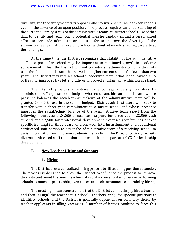diversity, and to identify voluntary opportunities to swap personnel between schools even in the absence of an open position. The process requires an understanding of the current diversity status of the administrative teams at District schools, use of that data to identify and reach out to potential transfer candidates, and a personalized effort to persuade administrators to transfer to improve the diversity of the administrative team at the receiving school, without adversely affecting diversity at the sending school.

 At the same time, the District recognizes that stability in the administrative staff at a particular school may be important to continued growth in academic achievement. Thus, the District will not consider an administrator for a diversity transfer if that administrator has served at his/her current school for fewer than two years. The District may retain a school's leadership team if that school earned an A or B rating, improved by a letter grade, or improved substantially within a grade band.

 The District provides incentives to encourage diversity transfers by administrators. Target school principals who recruit and hire an administrator whose presence balances the racial/ethnic makeup of the administrative team will be granted \$3,000 to use in the school budget. District administrators who seek to transfer with a three‐year commitment to a target school and whose presence improves the racial/ethnic balance of the administrative team select from the following incentives: a \$4,000 annual cash stipend for three years; \$2,500 cash stipend and \$2,500 for professional development expenses (conferences and/or specific training) for three years; or a one-year interim assignment of an additional certificated staff person to assist the administrative team of a receiving school, to assist in transition and improve academic instruction. The Director actively recruits diverse certificated staff to fill that interim position as part of a GYO for leadership development.

# **B. New Teacher Hiring and Support**

#### **1. Hiring**

 The District uses a centralized hiring process to fill teaching position vacancies. The process is designed to allow the District to influence the process to improve diversity and avoid first‐year teachers at racially concentrated or underperforming schools as much as practicable given the external circumstances constraining hiring.

 The most significant constraint is that the District cannot simply hire a teacher and then "assign" the teacher to a school. Teachers apply for specific positions at identified schools, and the District is generally dependent on voluntary choice by teacher applicants in filling vacancies. A number of factors combine to force this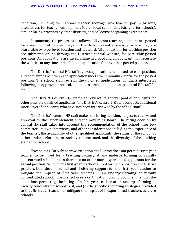condition, including the national teacher shortage, low teacher pay in Arizona, alternatives for teacher employment (other local school districts, charter schools), similar hiring practices by other districts, and collective bargaining agreements.

 In summary, the process is as follows: All vacant teaching positions are posted for a minimum of fourteen days on the District's central website, where they are searchable by type, level, location and keyword. All applications for teaching position are submitted online through the District's central website, for particular posted positions. All applications are saved online in a pool and an applicant may return to the website at any time and submit an application for any other posted position.

 The District's central HR staff reviews applications submitted for each position, and determines whether each application meets the minimum criteria for the posted position. The school staff reviews the qualified applications, conducts interviews following an approved protocol, and makes a recommendation to central HR staff for hiring.

 The District's central HR staff also reviews its general pool of applicants for other possible qualified applicants. The District's central HR staff conducts additional interviews of applicants who have not been interviewed by the school staff.

 The District's central HR staff makes the hiring decision, subject to review and approval by the Superintendent and the Governing Board. The hiring decision by central HR staff takes into account the recommendation of the school interview committee, its own interviews, and other considerations including the experience of the teacher, the availability of other qualified applicants, the status of the school as either underperforming or racially concentrated, and the diversity of the teaching staff at the school.

 Except in a relatively narrow exception, the District does not permit a first‐year teacher to be hired for a teaching vacancy at any underperforming or racially concentrated school unless there are no other more experienced applicants for the vacant position. Whenever a first‐year teacher is hired for such a position, the District provides both developmental and sheltering support for the first ‐year teacher to mitigate the impact of first year teaching in an underperforming or racially concentrated school. The District uses a certification form to document (a) that the conditions permitting the hiring of a first‐year teacher at an underperforming or racially concentrated school exist, and (b) the specific sheltering strategies provided to that first‐year teacher to mitigate the impact of inexperienced teachers at these schools.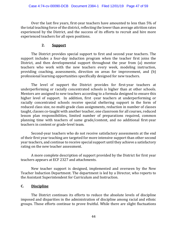Over the last five years, first‐year teachers have amounted to less than 5% of the total teaching force of the district, reflecting the lower than average attrition rates experienced by the District, and the success of its efforts to recruit and hire more experienced teachers for all open positions.

#### **2. Support**

 The District provides special support to first and second year teachers. The support includes a four-day induction program when the teacher first joins the District, and then developmental support throughout the year from (a) mentor teachers who work with the new teachers every week, modeling instruction, providing coaching, assessments, direction on areas for improvement, and (b) professional learning opportunities specifically designed for new teachers.

The level of support the District provides for first-year teachers at underperforming or racially concentrated schools is higher than at other schools. Mentors are assigned to new teachers according to a formula designed to ensure this higher level of support. In addition, first -year teachers at underperforming or racially concentrated schools receive special sheltering support in the form of reduced class size, no multi‐grade class assignments, reduction in number of classes taught, classes co-taught with another teacher, one classroom for all courses, reduced lesson plan responsibilities, limited number of preparations required, common planning time with teachers of same grade/content, and no additional first‐year teachers in content or grade‐level team.

Second-year teachers who do not receive satisfactory assessments at the end of their first year teaching are targeted for more intensive support than other second year teachers, and continue to receive special support until they achieve a satisfactory rating on the new teacher assessment.

 A more complete description of support provided by the District for first year teachers appears at ECF 2327 and attachments.

 New teacher support is designed, implemented and overseen by the New Teacher Induction Department. The department is led by a Director, who reports to the Assistant Superintendent for Curriculum and Instruction.

#### **C. Discipline**

 The District continues its efforts to reduce the absolute levels of discipline imposed and disparities in the administration of discipline among racial and ethnic groups. Those efforts continue to prove fruitful. While there are slight fluctuations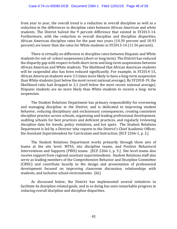from year to year, the overall trend is a reduction in overall discipline as well as a reduction in the differences in discipline rates between African American and white students. The District halved the 9 percent difference that existed in SY2013‐14. Furthermore, with the reduction in overall discipline and discipline disparities, African American discipline rates for the past two years (10.39 percent and 10.93 percent) are lower than the rates for White students in SY2013‐14 (11.56 percent).

 There is virtually no difference in discipline rates between Hispanic and White students for out‐of‐ school suspensions (short or long term). The District has reduced the disparity gap with respect to both short‐term and long‐term suspensions between African American and White students. The likelihood that African American students will be suspended also has been reduced significantly. For example, in SY2014-15, African American students were 3.5 times more likely to have a long‐term suspension than White students (just below the most recent national average). By SY2018‐19, the likelihood ratio had dropped to 2.1 (well below the most recent national average). Hispanic students are no more likely than White students to receive a long‐ term suspension.

The Student Relations Department has primary responsibility for overseeing and managing discipline in the District, and is dedicated to improving student behavior, reducing disciplinary and exclusionary consequences, creating consistent discipline practice across schools, organizing and leading professional development, auditing schools for best practices and deficient practices, and regularly reviewing discipline data for trends, policy violations, and hot spots. The Student Relations Department is led by a Director who reports to the District's Chief Academic Officer, the Assistant Superintendent for Curriculum and Instruction. [ECF 2266‐1, p. 2.]

 The Student Relations Department works primarily through three sets of teams at the site level: MTSS, site discipline teams, and Positive Behavioral Interventions and Supports (PBIS) teams. [ECF 2266-1, p. 5.] Site level teams also receive support from regional assistant superintendents. Student Relations staff also serve as leading members of the Comprehensive Behavior and Discipline Committee (CBDC) and contribute heavily to the design and presentation of professional development focused on improving classroom discussion, relationships with students, and inclusive school environments. [Id.]

 As discussed below, the District has implemented several initiatives to facilitate its discipline‐related goals, and in so doing has seen remarkable progress in reducing overall discipline and discipline disparities.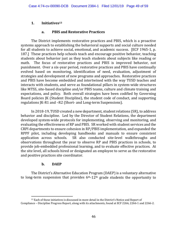# **1. Initiatives13**

# **a. PBIS and Restorative Practices**

 The District implements restorative practices and PBIS, which is a proactive systems approach to establishing the behavioral supports and social culture needed for all students to achieve social, emotional, and academic success. [ECF 1965‐1, p. 187.] These practices help schools teach and encourage positive behavior, teaching students about behavior just as they teach students about subjects like reading or math. The focus of restorative practices and PBIS is improved behavior, not punishment. Over a six‐year period, restorative practices and PBIS have continually evolved based on monitoring, identification of need, evaluation, adjustment of strategies and development of new programs and approaches. Restorative practices and PBIS have become embedded and intertwined with the way TUSD teaches and interacts with students, and serve as foundational pillars in system‐wide structures like MTSS, site‐based discipline and/or PBIS teams, culture and climate training and expectations, and policy. Both overall strategies have been codified by Governing Board policies JK (Student Discipline), the student code of conduct, and supporting regulations JK‐R1 and –R2 (Short‐ and Long‐term Suspensions).

 In 2018‐19, TUSD created a new department, student relations (SR), to address behavior and discipline. Led by the Director of Student Relations, the department developed system‐wide protocols for implementing, observing and monitoring, and evaluating the effectiveness of RP and PBIS. SR worked with student services and the CRPI departments to ensure cohesion in RP/PBIS implementation, and expanded the RPPF pilot, including developing handbooks and manuals to ensure consistent application across schools. SR also conducted site‐level walkthroughs and observations throughout the year to observe RP and PBIS practices in schools, to provide job‐embedded professional learning, and to evaluate effective practices. At the site level, all schools hired or designated an employee to serve as the restorative and positive practices site coordinator.

# **b. DAEP**

 $\overline{\phantom{a}}$ 

 The District's Alternative Education Program (DAEP) is a voluntary alternative to long-term suspension that provides  $6<sup>th-12<sup>th</sup></sup>$  grade students the opportunity to

<sup>&</sup>lt;sup>13</sup> Each of these initiatives is discussed in more detail in the District's Notice and Report of Compliance – Discipline Progress Report, along with its attachments, found at ECF 2266, 2266‐1 and 2266‐2.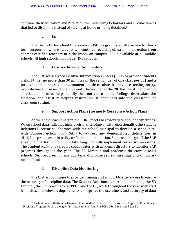continue their education and reflect on the underlying behaviors and circumstances that led to discipline instead of staying at home or being detained.14

## **c. ISI**

 The District's In‐School Intervention (ISI) program is an alternative to short‐ term suspension where students will continue receiving classroom instruction from content‐certified teachers in a classroom on campus. ISI is available at all middle schools, all high schools, and larger K‐8 schools.

# **d. Positive Intervention Centers**

 The District designed Positive Intervention Centers (PICs) to provide students a short time (no more than 30 minutes or the remainder of one class period) and a positive and supportive environment to de‐escalate if they are feeling angry, overwhelmed, or in need of a time‐out. The teacher in the PIC has the student fill out a reflection form to help identify the root cause of the feelings, de‐escalate the situation, and assist in helping restore the student back into the classroom or classroom setting.

# **e. Support Action Plans (formerly Corrective Action Plans)**

 At the end of each quarter, the CDRC meets to review data and identify trends. When school data indicates high levels of discipline or disproportionality, the Student Relations Director collaborates with the school principal to develop a school site‐ wide Support Action Plan (SAP) to address any demonstrated deficiencies in discipline practices or in policy or Code implementation. Some schools go off the SAP after one quarter, while others take longer to fully implement corrective measures. The Student Relations director collaborates with academic directors to monitor SAP progress throughout the year. The SR Director and academic directors discuss schools' SAP progress during quarterly discipline review meetings and on an asneeded basis.

# **f. Discipline Data Monitoring**

 The District continues to provide training and support to site leaders to ensure the accuracy of discipline data. The Student Relations department, including the SR Director, the SR Coordinator (RPPC), and the CL, work throughout the year with staff from sites and relevant departments to improve the usefulness and accuracy of data

 $\overline{a}$ <sup>14</sup> Each of these initiatives is discussed in more detail in the District's Notice of Report of Compliance – Discipline Progress Report, along with its attachments, found at ECF 2266, 2266‐1 and 2266‐2.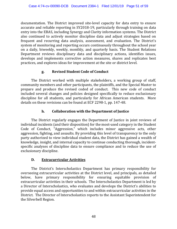documentation. The District improved site‐level capacity for data entry to ensure accurate and reliable reporting in SY2018‐19, particularly through training on data entry into the EBAS, including Synergy and Clarity information systems. The District also continued to actively monitor discipline data and adjust strategies based on frequent and recurring data analysis, assessment, and evaluation. The District's system of monitoring and reporting occurs continuously throughout the school year on a daily, biweekly, weekly, monthly, and quarterly basis. The Student Relations Department reviews disciplinary data and disciplinary actions, identifies issues, develops and implements corrective action measures, shares and replicates best practices, and explores ideas for improvement at the site or district level.

# **g. Revised Student Code of Conduct**

 The District worked with multiple stakeholders, a working group of staff, community members and other participants, the plaintiffs, and the Special Master to prepare and produce the revised coded of conduct. This new code of conduct included several changes and policies designed specifically to reduce exclusionary discipline for all students, and particularly for African American students. More details on these revisions can be found at ECF 2298‐1, pp. 147‐48.

# **h. Collaboration with the Department of Justice**

 The District regularly engages the Department of Justice in joint reviews of individual incidents (and their disposition) for the most-used category in the Student Code of Conduct, "Aggression," which includes minor aggressive acts, other aggression, fighting, and assaults. By providing this level of transparency to the only party authorized to view individual student data, the District has gained a wealth of knowledge, insight, and internal capacity to continue conducting thorough, incident‐ specific analyses of discipline data to ensure compliance and to reduce the use of exclusionary discipline.

# **D. Extracurricular Activities**

 The District's Interscholastics Department has primary responsibility for overseeing extracurricular activities at the District level, and principals, as detailed below, have primary responsibility for ensuring equitable provision of extracurricular activities in their schools. The Interscholastics Department is led by a Director of Interscholastics, who evaluates and develops the District's abilities to provide equal access and opportunities to and within extracurricular activities in the District. The Director of Interscholastics reports to the Assistant Superintendent for the Silverbell Region.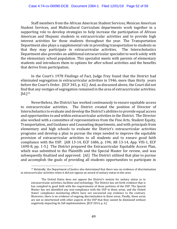Staff members from the African American Student Services, Mexican American Student Services, and Multicultural Curriculum departments work together in a supporting role to develop strategies to help increase the participation of African American and Hispanic students in extracurricular activities and to provide high interest activities for these students throughout the year. The Transportation Department also plays a supplemental role in providing transportation to students so that they may participate in extracurricular activities. The Interscholastics Department also provides an additional extracurricular specialist to work solely with the elementary school population. This specialist meets with parents of elementary students and introduces them to options for after‐school activities and the benefits that derive from participation.

In the Court's 1978 Findings of Fact, Judge Frey found that the District had eliminated segregation in extracurricular activities in 1946, more than thirty years before the Court's Order. [ECF 345, p. 42.] And, as discussed above, the Court did not find that any vestiges of segregation remained in the area of extracurricular activities.  $\left[$ Id. $\right]$ <sup>15</sup>

Nevertheless, the District has worked continuously to ensure equitable access to extracurricular activities. The District created the position of Director of Interscholastics to evaluate and develop the District's abilities to provide equal access and opportunities to and within extracurricular activities in the District. The Director also worked with a committee of representatives from the Fine Arts, Student Equity, Transportation, and Guidance and Counseling departments, and with principals from elementary and high schools to evaluate the District's extracurricular activities programs and develop a plan to pursue the steps needed to improve the equitable provision of extracurricular activities to all students and to ensure good faith compliance with the USP. [AR 13‐14, ECF 1686, p. 194; AR 13‐14, App. VIII‐1, ECF 1690‐8, pp. 1‐5.] The District prepared the Extracurricular Equitable Access Plan, which was submitted to the Plaintiffs and the Special Master for review, and was subsequently finalized and approved. [*Id.*] The District utilized that plan to pursue and accomplish the goals of providing all students opportunities to participate in

 $\overline{\phantom{a}}$ 

<sup>15</sup> Relatedly, the Department of Justice also determined that there was no evidence of discrimination in extracurricular activities when it did not oppose an award of unitary status in this area:

The United States does not oppose the District's motion for unitary status as to extracurricular activities, facilities and technology. The District has set forth evidence that is has complied in good faith with the requirements of these portions of the USP. The Special Master has not identified any non‐compliance with the USP in these areas, and the United States' compliance monitoring efforts have not uncovered any evidence to the contrary. Moreover, there is no evidence of ongoing discrimination in these areas. Finally, these areas are not so intertwined with other aspects of the USP that they cannot be dismissed without negatively impacting its full implementation. [ECF 2014, p. 6.]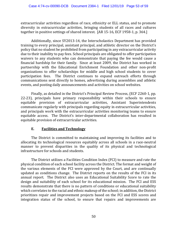extracurricular activities regardless of race, ethnicity or ELL status, and to promote diversity in extracurricular activities, bringing students of all races and cultures together in positive settings of shared interest. [AR 15‐16, ECF 1958‐1, p. 364.]

Additionally, since SY2013‐14, the Interscholastics Department has provided training to every principal, assistant principal, and athletic director on the District's policy that no student be prohibited from participating in any extracurricular activity due to their inability to pay fees. School principals are obligated to offer participation waivers to any students who can demonstrate that paying the fee would cause a financial hardship for their family. Since at least 2009, the District has worked in partnership with the Educational Enrichment Foundation and other non‐profit organizations to offer scholarships for middle and high school students to cover participation fees. The District continues to expand outreach efforts through communications sent directly to homes, advertising during assemblies and athletic events, and posting daily announcements and activities on school websites.

Finally, as detailed in the District's Principal Review Process, (ECF 2260‐1, pp. 22‐23), principals have primary responsibility within their schools to ensure equitable provision of extracurricular activities, Assistant Superintendents communicate regularly with principals regarding equity in extracurricular activities, and principals work with the extracurricular activities monitoring teams to ensure equitable access. The District's inter‐departmental collaboration has resulted in equitable provision of extracurricular activities.

#### **E. Facilities and Technology**

The District is committed to maintaining and improving its facilities and to allocating its technological resources equitably across all schools in a race‐neutral manner to prevent disparities in the quality of its physical and technological infrastructure for schools and students.

The District utilizes a Facilities Condition Index (FCI) to measure and rate the physical condition of each school facility across the District. The format and weight of the various elements of the FCI were approved by the Court, and are continually updated as conditions change. The District reports on the results of the FCI in its annual report. The District also uses an Educational Suitability Score to rate the design and suitability of each school for its educational mission. The FCI and ESS results demonstrate that there is no pattern of conditions or educational suitability which correlates to the racial and ethnic makeup of the school; in addition, the District prioritizes repair and improvement projects based on the FCI and ESS scores and integration status of the school, to ensure that repairs and improvements are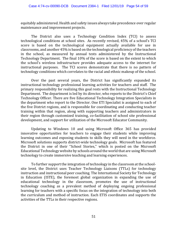equitably administered. Health and safety issues always take precedence over regular maintenance and improvement projects.

The District also uses a Technology Condition Index (TCI) to assess technological conditions at school sites. As recently revised, 45% of a school's TCI score is based on the technological equipment actually available for use in classrooms, and another 45% is based on the technological proficiency of the teachers in the school, as measured by annual tests administered by the Instructional Technology Department. The final 10% of the score is based on the extent to which the school's wireless infrastructure provides adequate access to the internet for instructional purposes. The TCI scores demonstrate that there is no pattern of technology conditions which correlates to the racial and ethnic makeup of the school.

Over the past several years, the District has significantly expanded its instructional technology professional learning activities for teachers and staff. The primary responsibility for realizing this goal rests with the Instructional Technology Department. The department is led by its director, who reports to the District's Chief Technology Officer. There are five Educational Technology Integration Specialists in the department who report to the Director. One ETI Specialist is assigned to each of the five District regions, and is responsible for coordinating and conducting teacher training within that region, along with supporting teachers and administrators in their region through customized training, co‐facilitation of school site professional development, and support for utilization of the Microsoft Educator Community.

Updating to Windows 10 and using Microsoft Office 365 has provided innovative opportunities for teachers to engage their students while improving learning outcomes and exposing students to skills they will need in the workforce. Microsoft solutions supports district‐wide technology goals. Microsoft has featured the District in one of their "School Stories," which is posted on the Microsoft Educational Technology website by schools around the world that are using Microsoft technology to create immersive teaching and learning experiences.

To further support the integration of technology in the classroom at the school‐ site level, the District uses Teacher Technology Liaisons (TTLs) for technology instruction and instructional peer coaching. The International Society for Technology in Education (ISTE), the foremost global organization in expanding the use of educational technology in the classroom, promotes the use of instructional technology coaching as a prevalent method of deploying ongoing professional learning for teachers with a specific focus on the integration of technology into both the curriculum and method of instruction. Each ETIS coordinates and supports the activities of the TTLs in their respective regions.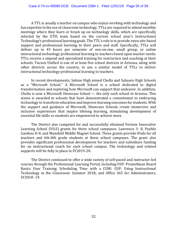A TTL is usually a teacher on campus who enjoys working with technology and has expertise in the use of classroom technology. TTLs are required to attend monthly meetings where they learn or brush up on technology skills, which are specifically selected by the ETIS team based on the current school year's Instructional Technology's professional learning goals. The TTL's role is to provide extra site‐based support and professional learning to their peers and staff. Specifically, TTLs will deliver up to 45 hours per semester of one‐on‐one, small group, or online instructional technology professional learning to teachers based upon teacher needs. TTLs receive a stipend and specialized training for instruction and coaching at their schools. Tucson Unified is one of at least five school districts in Arizona, along with other districts across the country, to use a similar model of TTLs to deliver instructional technology professional learning to teachers.

In recent developments, Sabino High joined Cholla and Sahuaro High Schools as a "Microsoft School." A Microsoft School is a school dedicated to digital transformation and exploring how Microsoft can support that endeavor. In addition, Cholla is now a Microsoft Showcase School — the only such school in Arizona. This status is awarded to schools that have demonstrated a commitment to embracing technology to transform education and improve learning outcomes for students. With the support and guidance of Microsoft, Showcase Schools create immersive and inclusive experiences that inspire lifelong learning, stimulating development of essential life skills so students are empowered to achieve more.

The District also competed for and successfully obtained Verizon Innovative Learning School (VILS) grants for three school campuses: Lawrence 3‐ 8, Pueblo Gardens K‐8, and Mansfeld Middle Magnet School. These grants provide iPads for all teachers and 6th‐8th grade students at these school campuses. The grant also provides significant professional development for teachers and subsidizes funding for an instructional coach for each school campus. The technology and related supports will be fully in place in SY2019‐20.

The District continued to offer a wide variety of self‐paced and instructor‐led courses through the Professional Learning Portal, including USP: Promethean Board Basics User Training; Scheduling Time with a COW; USP: Using Instructional Technology in the Classroom: Summer 2018; and Office 365 for Administrators, SY2018‐ 19.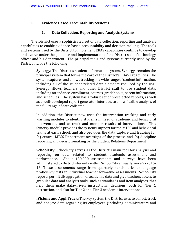# **F. Evidence Based Accountability Systems**

# **1. Data Collection, Reporting and Analytic Systems**

The District uses a sophisticated set of data collection, reporting and analysis capabilities to enable evidence‐based accountability and decision‐making. The tools and systems used by the District to implement EBAS capabilities continue to develop and evolve under the guidance and implementation of the District's chief technology officer and his department. The principal tools and systems currently used by the District include the following:

> **Synergy:** The District's student information system, Synergy, remains the principal system that forms the core of the District's EBAS capabilities. The system captures and allows tracking of a wide range of student information, including all of the student related data elements required by the USP. Synergy allows teachers and other District staff to use student data, including attendance, enrollment, courses, gradebooks, parent information, and schedules. The system has a robust set of preselected reports, as well as a well‐developed report generator interface, to allow flexible analysis of the full range of data collected.

> In addition, the District now uses the intervention tracking and early warning modules to identify students in need of academic and behavioral intervention, and to track and monitor results of interventions. This Synergy module provides the systems support for the MTSS and behavioral teams at each school, and also provides the data capture and tracking for (a) central MTSS Department oversight of the process and (b) discipline reporting and decision‐making by the Student Relations Department

> **SchoolCity**: SchoolCity serves as the District's main tool for analysis and reporting on data related to student academic assessment and performance. About 180,000 assessments and surveys have been administered to District students within SchoolCity annually since SY2015‐ 16. These assessments range from quarterly benchmarks to language proficiency tests to individual teacher formative assessments. SchoolCity reports permit disaggregation of academic data and give teachers access to granular data and analysis tools, such as standards and item analyses, that help them make data-driven instructional decisions, both for Tier 1 instruction, and also for Tier 2 and Tier 3 academic interventions.

> **iVisions and AppliTrack:** The key system the District uses to collect, track and analyze data regarding its employees (including administrators and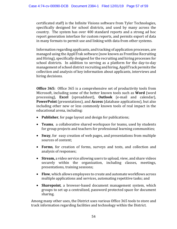certificated staff) is the Infinite Visions software from Tyler Technologies, specifically designed for school districts, and used by many across the country. The system has over 400 standard reports and a strong ad hoc report generation interface for custom reports, and permits export of data in many formats to permit use and linking with data from other systems.

Information regarding applicants, and tracking of application processes, are managed using the AppliTrak software (now known as Frontline Recruiting and Hiring), specifically designed for the recruiting and hiring processes for school districts. In addition to serving as a platform for the day‐to‐day management of school district recruiting and hiring, AppliTrack permits the collection and analysis of key information about applicants, interviews and hiring decisions.

**Office 365:** Office 365 is a comprehensive set of productivity tools from Microsoft, including some of the better known tools such as **Word** (word processing), **Excel** (spreadsheet), **Outlook** (e‐mail and calendar), **PowerPoint** (presentations), and **Access** (database applications), but also including other new or less commonly known tools of real impact in the educational arena, including:

- **Publisher**, for page layout and design for publications;
- **Teams**, a collaborative shared workspace for teams, used by students for group projects and teachers for professional learning communities;
- **Sway**, for easy creation of web pages, and presentations from multiple sources of content;
- **Forms**, for creation of forms, surveys and tests, and collection and analysis of responses;
- **Stream,** a video service allowing users to upload, view, and share videos securely within the organization, including classes, meetings, presentations, training sessions;
- **Flow**, which allows employees to create and automate workflows across multiple applications and services, automating repetitive tasks; and
- **Sharepoint**, a browser-based document management system, which groups to set up a centralized, password protected space for document sharing.

Among many other uses, the District uses various Office 365 tools to store and track information regarding facilities and technology within the District.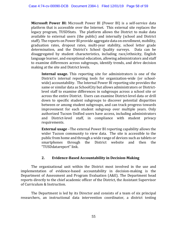**Microsoft Power BI:** Microsoft Power BI (Power BI) is a self‐service data platform that is accessible over the Internet. This external site replaces the legacy program, TUSDStats. The platform allows the District to make data available to external users (the public) and internally (school and District staff). The reports on Power BI provide aggregate data on enrollment, mobility, graduation rates, dropout rates, multi‐year stability, school letter grade determination, and the District's School Quality surveys. Data can be disaggregated by student characteristics, including race/ethnicity, English language learner, and exceptional education, allowing administrators and staff to examine differences across subgroups, identify trends, and drive decision making at the site and District levels.

**Internal usage.** This reporting site for administrators is one of the District's internal reporting tools for organization-wide (or schoolwide) accountability. The Internal Power BI reporting site provides the same or similar data as SchoolCity but allows administrators or Districtlevel staff to examine differences in subgroups across a school site or across the entire District. Users can examine District‐level data or drill down to specific student subgroups to discover potential disparities between or among student subgroups, and can track progress towards improvement for each student subgroup over multiple years. Only authorized Tucson Unified users have access, including administrators and District‐level staff, in compliance with student privacy requirements.

**External usage** –The external Power BI reporting capability allows the wider Tucson community to view data. The site is accessible to the public from home and through a wide range of devices such as tablets or smartphones through the District website and then the "TUSDdatareport" link.

#### **2. Evidence-Based Accountability in Decision-Making**

The organizational unit within the District most involved in the use and implementation of evidence-based accountability in decision-making is the Department of Assessment and Program Evaluation (A&E). The Department head reports directly to the chief academic officer of the District, the Assistant Supervisor of Curriculum & Instruction.

The Department is led by its Director and consists of a team of six principal researchers, an instructional data intervention coordinator, a district testing